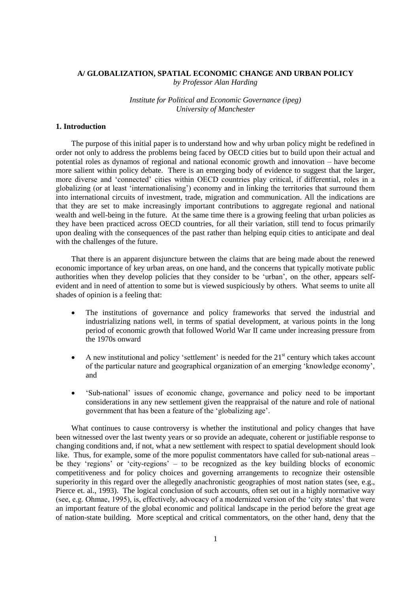# **A/ GLOBALIZATION, SPATIAL ECONOMIC CHANGE AND URBAN POLICY**

*by Professor Alan Harding* 

*Institute for Political and Economic Governance (ipeg) University of Manchester*

### **1. Introduction**

The purpose of this initial paper is to understand how and why urban policy might be redefined in order not only to address the problems being faced by OECD cities but to build upon their actual and potential roles as dynamos of regional and national economic growth and innovation – have become more salient within policy debate. There is an emerging body of evidence to suggest that the larger, more diverse and 'connected' cities within OECD countries play critical, if differential, roles in a globalizing (or at least 'internationalising') economy and in linking the territories that surround them into international circuits of investment, trade, migration and communication. All the indications are that they are set to make increasingly important contributions to aggregate regional and national wealth and well-being in the future. At the same time there is a growing feeling that urban policies as they have been practiced across OECD countries, for all their variation, still tend to focus primarily upon dealing with the consequences of the past rather than helping equip cities to anticipate and deal with the challenges of the future.

That there is an apparent disjuncture between the claims that are being made about the renewed economic importance of key urban areas, on one hand, and the concerns that typically motivate public authorities when they develop policies that they consider to be 'urban', on the other, appears selfevident and in need of attention to some but is viewed suspiciously by others. What seems to unite all shades of opinion is a feeling that:

- The institutions of governance and policy frameworks that served the industrial and industrializing nations well, in terms of spatial development, at various points in the long period of economic growth that followed World War II came under increasing pressure from the 1970s onward
- A new institutional and policy 'settlement' is needed for the  $21<sup>st</sup>$  century which takes account of the particular nature and geographical organization of an emerging 'knowledge economy', and
- 'Sub-national' issues of economic change, governance and policy need to be important considerations in any new settlement given the reappraisal of the nature and role of national government that has been a feature of the 'globalizing age'.

What continues to cause controversy is whether the institutional and policy changes that have been witnessed over the last twenty years or so provide an adequate, coherent or justifiable response to changing conditions and, if not, what a new settlement with respect to spatial development should look like. Thus, for example, some of the more populist commentators have called for sub-national areas – be they 'regions' or 'city-regions' – to be recognized as the key building blocks of economic competitiveness and for policy choices and governing arrangements to recognize their ostensible superiority in this regard over the allegedly anachronistic geographies of most nation states (see, e.g., Pierce et. al., 1993). The logical conclusion of such accounts, often set out in a highly normative way (see, e.g. Ohmae, 1995), is, effectively, advocacy of a modernized version of the 'city states' that were an important feature of the global economic and political landscape in the period before the great age of nation-state building. More sceptical and critical commentators, on the other hand, deny that the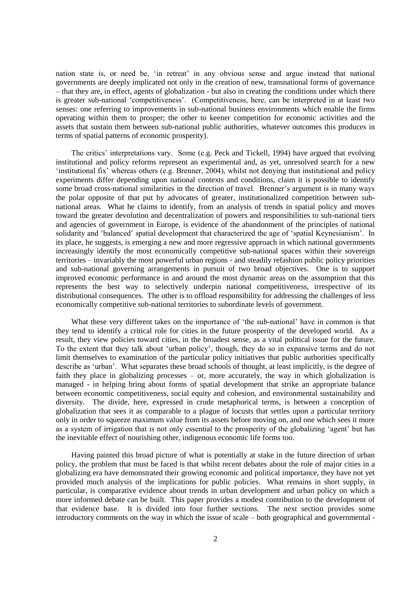nation state is, or need be, 'in retreat' in any obvious sense and argue instead that national governments are deeply implicated not only in the creation of new, transnational forms of governance – that they are, in effect, agents of globalization - but also in creating the conditions under which there is greater sub-national 'competitiveness'. (Competitiveness, here, can be interpreted in at least two senses: one referring to improvements in sub-national business environments which enable the firms operating within them to prosper; the other to keener competition for economic activities and the assets that sustain them between sub-national public authorities, whatever outcomes this produces in terms of spatial patterns of economic prosperity).

The critics' interpretations vary. Some (e.g. Peck and Tickell, 1994) have argued that evolving institutional and policy reforms represent an experimental and, as yet, unresolved search for a new 'institutional fix' whereas others (e.g. Brenner, 2004), whilst not denying that institutional and policy experiments differ depending upon national contexts and conditions, claim it is possible to identify some broad cross-national similarities in the direction of travel. Brenner's argument is in many ways the polar opposite of that put by advocates of greater, institutionalized competition between subnational areas. What he claims to identify, from an analysis of trends in spatial policy and moves toward the greater devolution and decentralization of powers and responsibilities to sub-national tiers and agencies of government in Europe, is evidence of the abandonment of the principles of national solidarity and 'balanced' spatial development that characterized the age of 'spatial Keynesianism'. In its place, he suggests, is emerging a new and more regressive approach in which national governments increasingly identify the most economically competitive sub-national spaces within their sovereign territories – invariably the most powerful urban regions - and steadily refashion public policy priorities and sub-national governing arrangements in pursuit of two broad objectives. One is to support improved economic performance in and around the most dynamic areas on the assumption that this represents the best way to selectively underpin national competitiveness, irrespective of its distributional consequences. The other is to offload responsibility for addressing the challenges of less economically competitive sub-national territories to subordinate levels of government.

What these very different takes on the importance of 'the sub-national' have in common is that they tend to identify a critical role for cities in the future prosperity of the developed world. As a result, they view policies toward cities, in the broadest sense, as a vital political issue for the future. To the extent that they talk about 'urban policy', though, they do so in expansive terms and do not limit themselves to examination of the particular policy initiatives that public authorities specifically describe as 'urban'. What separates these broad schools of thought, at least implicitly, is the degree of faith they place in globalizing processes – or, more accurately, the way in which globalization is managed - in helping bring about forms of spatial development that strike an appropriate balance between economic competitiveness, social equity and cohesion, and environmental sustainability and diversity. The divide, here, expressed in crude metaphorical terms, is between a conception of globalization that sees it as comparable to a plague of locusts that settles upon a particular territory only in order to squeeze maximum value from its assets before moving on, and one which sees it more as a system of irrigation that is not only essential to the prosperity of the globalizing 'agent' but has the inevitable effect of nourishing other, indigenous economic life forms too.

Having painted this broad picture of what is potentially at stake in the future direction of urban policy, the problem that must be faced is that whilst recent debates about the role of major cities in a globalizing era have demonstrated their growing economic and political importance, they have not yet provided much analysis of the implications for public policies. What remains in short supply, in particular, is comparative evidence about trends in urban development and urban policy on which a more informed debate can be built. This paper provides a modest contribution to the development of that evidence base. It is divided into four further sections. The next section provides some introductory comments on the way in which the issue of scale – both geographical and governmental -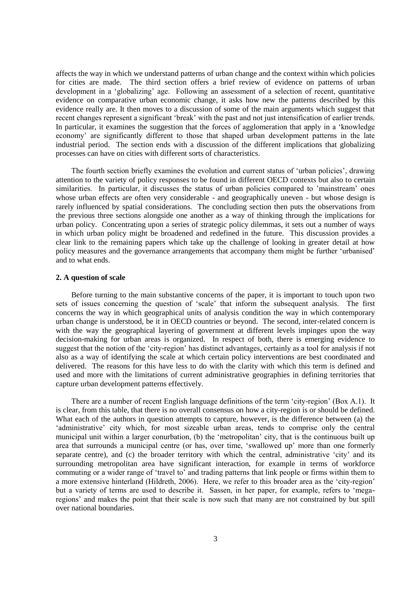affects the way in which we understand patterns of urban change and the context within which policies for cities are made. The third section offers a brief review of evidence on patterns of urban development in a 'globalizing' age. Following an assessment of a selection of recent, quantitative evidence on comparative urban economic change, it asks how new the patterns described by this evidence really are. It then moves to a discussion of some of the main arguments which suggest that recent changes represent a significant 'break' with the past and not just intensification of earlier trends. In particular, it examines the suggestion that the forces of agglomeration that apply in a 'knowledge economy' are significantly different to those that shaped urban development patterns in the late industrial period. The section ends with a discussion of the different implications that globalizing processes can have on cities with different sorts of characteristics.

The fourth section briefly examines the evolution and current status of 'urban policies', drawing attention to the variety of policy responses to be found in different OECD contexts but also to certain similarities. In particular, it discusses the status of urban policies compared to 'mainstream' ones whose urban effects are often very considerable - and geographically uneven - but whose design is rarely influenced by spatial considerations. The concluding section then puts the observations from the previous three sections alongside one another as a way of thinking through the implications for urban policy. Concentrating upon a series of strategic policy dilemmas, it sets out a number of ways in which urban policy might be broadened and redefined in the future. This discussion provides a clear link to the remaining papers which take up the challenge of looking in greater detail at how policy measures and the governance arrangements that accompany them might be further 'urbanised' and to what ends.

### **2. A question of scale**

Before turning to the main substantive concerns of the paper, it is important to touch upon two sets of issues concerning the question of 'scale' that inform the subsequent analysis. The first concerns the way in which geographical units of analysis condition the way in which contemporary urban change is understood, be it in OECD countries or beyond. The second, inter-related concern is with the way the geographical layering of government at different levels impinges upon the way decision-making for urban areas is organized. In respect of both, there is emerging evidence to suggest that the notion of the 'city-region' has distinct advantages, certainly as a tool for analysis if not also as a way of identifying the scale at which certain policy interventions are best coordinated and delivered. The reasons for this have less to do with the clarity with which this term is defined and used and more with the limitations of current administrative geographies in defining territories that capture urban development patterns effectively.

There are a number of recent English language definitions of the term 'city-region' (Box A.1). It is clear, from this table, that there is no overall consensus on how a city-region is or should be defined. What each of the authors in question attempts to capture, however, is the difference between (a) the 'administrative' city which, for most sizeable urban areas, tends to comprise only the central municipal unit within a larger conurbation, (b) the 'metropolitan' city, that is the continuous built up area that surrounds a municipal centre (or has, over time, 'swallowed up' more than one formerly separate centre), and (c) the broader territory with which the central, administrative 'city' and its surrounding metropolitan area have significant interaction, for example in terms of workforce commuting or a wider range of 'travel to' and trading patterns that link people or firms within them to a more extensive hinterland (Hildreth, 2006). Here, we refer to this broader area as the 'city-region' but a variety of terms are used to describe it. Sassen, in her paper, for example, refers to 'megaregions' and makes the point that their scale is now such that many are not constrained by but spill over national boundaries.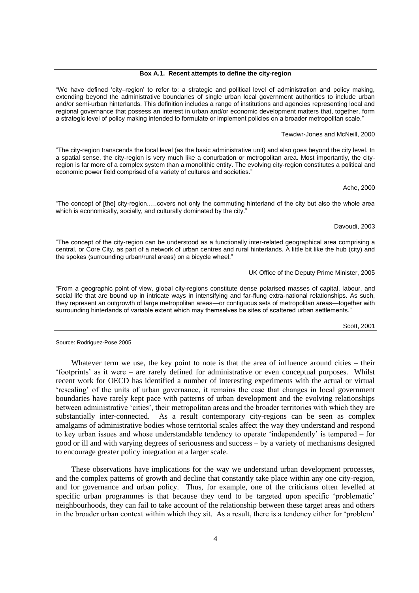#### **Box A.1. Recent attempts to define the city-region**

―We have defined ‗city–region' to refer to: a strategic and political level of administration and policy making, extending beyond the administrative boundaries of single urban local government authorities to include urban and/or semi-urban hinterlands. This definition includes a range of institutions and agencies representing local and regional governance that possess an interest in urban and/or economic development matters that, together, form a strategic level of policy making intended to formulate or implement policies on a broader metropolitan scale."

Tewdwr-Jones and McNeill, 2000

―The city-region transcends the local level (as the basic administrative unit) and also goes beyond the city level. In a spatial sense, the city-region is very much like a conurbation or metropolitan area. Most importantly, the cityregion is far more of a complex system than a monolithic entity. The evolving city-region constitutes a political and economic power field comprised of a variety of cultures and societies."

Ache, 2000

―The concept of [the] city-region.….covers not only the commuting hinterland of the city but also the whole area which is economically, socially, and culturally dominated by the city."

Davoudi, 2003

―The concept of the city-region can be understood as a functionally inter-related geographical area comprising a central, or Core City, as part of a network of urban centres and rural hinterlands. A little bit like the hub (city) and the spokes (surrounding urban/rural areas) on a bicycle wheel."

UK Office of the Deputy Prime Minister, 2005

―From a geographic point of view, global city-regions constitute dense polarised masses of capital, labour, and social life that are bound up in intricate ways in intensifying and far-flung extra-national relationships. As such, they represent an outgrowth of large metropolitan areas—or contiguous sets of metropolitan areas—together with surrounding hinterlands of variable extent which may themselves be sites of scattered urban settlements."

Scott, 2001

Source: Rodriguez-Pose 2005

Whatever term we use, the key point to note is that the area of influence around cities – their 'footprints' as it were – are rarely defined for administrative or even conceptual purposes. Whilst recent work for OECD has identified a number of interesting experiments with the actual or virtual 'rescaling' of the units of urban governance, it remains the case that changes in local government boundaries have rarely kept pace with patterns of urban development and the evolving relationships between administrative 'cities', their metropolitan areas and the broader territories with which they are substantially inter-connected. As a result contemporary city-regions can be seen as complex amalgams of administrative bodies whose territorial scales affect the way they understand and respond to key urban issues and whose understandable tendency to operate 'independently' is tempered – for good or ill and with varying degrees of seriousness and success – by a variety of mechanisms designed to encourage greater policy integration at a larger scale.

These observations have implications for the way we understand urban development processes, and the complex patterns of growth and decline that constantly take place within any one city-region, and for governance and urban policy. Thus, for example, one of the criticisms often levelled at specific urban programmes is that because they tend to be targeted upon specific 'problematic' neighbourhoods, they can fail to take account of the relationship between these target areas and others in the broader urban context within which they sit. As a result, there is a tendency either for 'problem'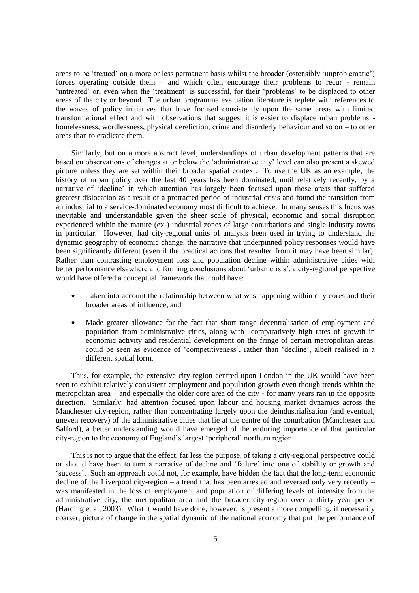areas to be 'treated' on a more or less permanent basis whilst the broader (ostensibly 'unproblematic') forces operating outside them – and which often encourage their problems to recur - remain 'untreated' or, even when the 'treatment' is successful, for their 'problems' to be displaced to other areas of the city or beyond. The urban programme evaluation literature is replete with references to the waves of policy initiatives that have focused consistently upon the same areas with limited transformational effect and with observations that suggest it is easier to displace urban problems homelessness, wordlessness, physical dereliction, crime and disorderly behaviour and so on – to other areas than to eradicate them.

Similarly, but on a more abstract level, understandings of urban development patterns that are based on observations of changes at or below the 'administrative city' level can also present a skewed picture unless they are set within their broader spatial context. To use the UK as an example, the history of urban policy over the last 40 years has been dominated, until relatively recently, by a narrative of 'decline' in which attention has largely been focused upon those areas that suffered greatest dislocation as a result of a protracted period of industrial crisis and found the transition from an industrial to a service-dominated economy most difficult to achieve. In many senses this focus was inevitable and understandable given the sheer scale of physical, economic and social disruption experienced within the mature (ex-) industrial zones of large conurbations and single-industry towns in particular. However, had city-regional units of analysis been used in trying to understand the dynamic geography of economic change, the narrative that underpinned policy responses would have been significantly different (even if the practical actions that resulted from it may have been similar). Rather than contrasting employment loss and population decline within administrative cities with better performance elsewhere and forming conclusions about 'urban crisis', a city-regional perspective would have offered a conceptual framework that could have:

- Taken into account the relationship between what was happening within city cores and their broader areas of influence, and
- Made greater allowance for the fact that short range decentralisation of employment and population from administrative cities, along with comparatively high rates of growth in economic activity and residential development on the fringe of certain metropolitan areas, could be seen as evidence of 'competitiveness', rather than 'decline', albeit realised in a different spatial form.

Thus, for example, the extensive city-region centred upon London in the UK would have been seen to exhibit relatively consistent employment and population growth even though trends within the metropolitan area – and especially the older core area of the city - for many years ran in the opposite direction. Similarly, had attention focused upon labour and housing market dynamics across the Manchester city-region, rather than concentrating largely upon the deindustrialisation (and eventual, uneven recovery) of the administrative cities that lie at the centre of the conurbation (Manchester and Salford), a better understanding would have emerged of the enduring importance of that particular city-region to the economy of England's largest 'peripheral' northern region.

This is not to argue that the effect, far less the purpose, of taking a city-regional perspective could or should have been to turn a narrative of decline and 'failure' into one of stability or growth and 'success'. Such an approach could not, for example, have hidden the fact that the long-term economic decline of the Liverpool city-region – a trend that has been arrested and reversed only very recently – was manifested in the loss of employment and population of differing levels of intensity from the administrative city, the metropolitan area and the broader city-region over a thirty year period (Harding et al, 2003). What it would have done, however, is present a more compelling, if necessarily coarser, picture of change in the spatial dynamic of the national economy that put the performance of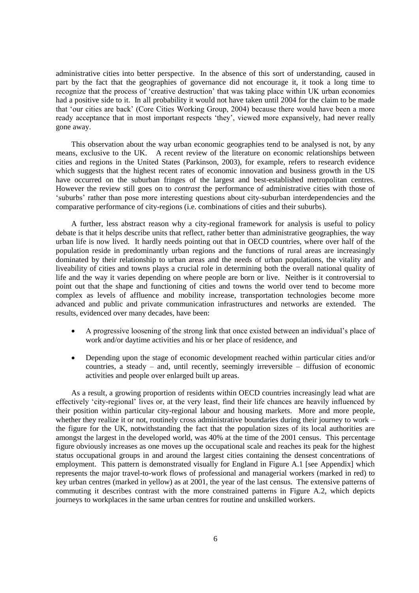administrative cities into better perspective. In the absence of this sort of understanding, caused in part by the fact that the geographies of governance did not encourage it, it took a long time to recognize that the process of 'creative destruction' that was taking place within UK urban economies had a positive side to it. In all probability it would not have taken until 2004 for the claim to be made that 'our cities are back' (Core Cities Working Group, 2004) because there would have been a more ready acceptance that in most important respects 'they', viewed more expansively, had never really gone away.

This observation about the way urban economic geographies tend to be analysed is not, by any means, exclusive to the UK. A recent review of the literature on economic relationships between cities and regions in the United States (Parkinson, 2003), for example, refers to research evidence which suggests that the highest recent rates of economic innovation and business growth in the US have occurred on the suburban fringes of the largest and best-established metropolitan centres. However the review still goes on to *contrast* the performance of administrative cities with those of 'suburbs' rather than pose more interesting questions about city-suburban interdependencies and the comparative performance of city-regions (i.e. combinations of cities and their suburbs).

A further, less abstract reason why a city-regional framework for analysis is useful to policy debate is that it helps describe units that reflect, rather better than administrative geographies, the way urban life is now lived. It hardly needs pointing out that in OECD countries, where over half of the population reside in predominantly urban regions and the functions of rural areas are increasingly dominated by their relationship to urban areas and the needs of urban populations, the vitality and liveability of cities and towns plays a crucial role in determining both the overall national quality of life and the way it varies depending on where people are born or live. Neither is it controversial to point out that the shape and functioning of cities and towns the world over tend to become more complex as levels of affluence and mobility increase, transportation technologies become more advanced and public and private communication infrastructures and networks are extended. The results, evidenced over many decades, have been:

- A progressive loosening of the strong link that once existed between an individual's place of work and/or daytime activities and his or her place of residence, and
- Depending upon the stage of economic development reached within particular cities and/or countries, a steady – and, until recently, seemingly irreversible – diffusion of economic activities and people over enlarged built up areas.

As a result, a growing proportion of residents within OECD countries increasingly lead what are effectively 'city-regional' lives or, at the very least, find their life chances are heavily influenced by their position within particular city-regional labour and housing markets. More and more people, whether they realize it or not, routinely cross administrative boundaries during their journey to work – the figure for the UK, notwithstanding the fact that the population sizes of its local authorities are amongst the largest in the developed world, was 40% at the time of the 2001 census. This percentage figure obviously increases as one moves up the occupational scale and reaches its peak for the highest status occupational groups in and around the largest cities containing the densest concentrations of employment. This pattern is demonstrated visually for England in Figure A.1 [see Appendix] which represents the major travel-to-work flows of professional and managerial workers (marked in red) to key urban centres (marked in yellow) as at 2001, the year of the last census. The extensive patterns of commuting it describes contrast with the more constrained patterns in Figure A.2, which depicts journeys to workplaces in the same urban centres for routine and unskilled workers.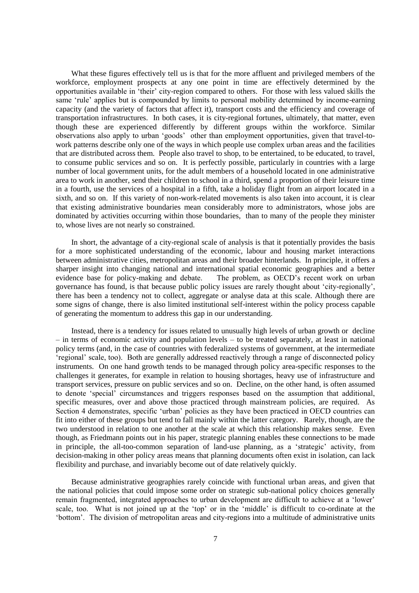What these figures effectively tell us is that for the more affluent and privileged members of the workforce, employment prospects at any one point in time are effectively determined by the opportunities available in 'their' city-region compared to others. For those with less valued skills the same 'rule' applies but is compounded by limits to personal mobility determined by income-earning capacity (and the variety of factors that affect it), transport costs and the efficiency and coverage of transportation infrastructures. In both cases, it is city-regional fortunes, ultimately, that matter, even though these are experienced differently by different groups within the workforce. Similar observations also apply to urban 'goods' other than employment opportunities, given that travel-towork patterns describe only one of the ways in which people use complex urban areas and the facilities that are distributed across them. People also travel to shop, to be entertained, to be educated, to travel, to consume public services and so on. It is perfectly possible, particularly in countries with a large number of local government units, for the adult members of a household located in one administrative area to work in another, send their children to school in a third, spend a proportion of their leisure time in a fourth, use the services of a hospital in a fifth, take a holiday flight from an airport located in a sixth, and so on. If this variety of non-work-related movements is also taken into account, it is clear that existing administrative boundaries mean considerably more to administrators, whose jobs are dominated by activities occurring within those boundaries, than to many of the people they minister to, whose lives are not nearly so constrained.

In short, the advantage of a city-regional scale of analysis is that it potentially provides the basis for a more sophisticated understanding of the economic, labour and housing market interactions between administrative cities, metropolitan areas and their broader hinterlands. In principle, it offers a sharper insight into changing national and international spatial economic geographies and a better evidence base for policy-making and debate. The problem, as OECD's recent work on urban governance has found, is that because public policy issues are rarely thought about 'city-regionally', there has been a tendency not to collect, aggregate or analyse data at this scale. Although there are some signs of change, there is also limited institutional self-interest within the policy process capable of generating the momentum to address this gap in our understanding.

Instead, there is a tendency for issues related to unusually high levels of urban growth or decline – in terms of economic activity and population levels – to be treated separately, at least in national policy terms (and, in the case of countries with federalized systems of government, at the intermediate 'regional' scale, too). Both are generally addressed reactively through a range of disconnected policy instruments. On one hand growth tends to be managed through policy area-specific responses to the challenges it generates, for example in relation to housing shortages, heavy use of infrastructure and transport services, pressure on public services and so on. Decline, on the other hand, is often assumed to denote 'special' circumstances and triggers responses based on the assumption that additional, specific measures, over and above those practiced through mainstream policies, are required. As Section 4 demonstrates, specific 'urban' policies as they have been practiced in OECD countries can fit into either of these groups but tend to fall mainly within the latter category. Rarely, though, are the two understood in relation to one another at the scale at which this relationship makes sense. Even though, as Friedmann points out in his paper, strategic planning enables these connections to be made in principle, the all-too-common separation of land-use planning, as a 'strategic' activity, from decision-making in other policy areas means that planning documents often exist in isolation, can lack flexibility and purchase, and invariably become out of date relatively quickly.

Because administrative geographies rarely coincide with functional urban areas, and given that the national policies that could impose some order on strategic sub-national policy choices generally remain fragmented, integrated approaches to urban development are difficult to achieve at a 'lower' scale, too. What is not joined up at the 'top' or in the 'middle' is difficult to co-ordinate at the 'bottom'. The division of metropolitan areas and city-regions into a multitude of administrative units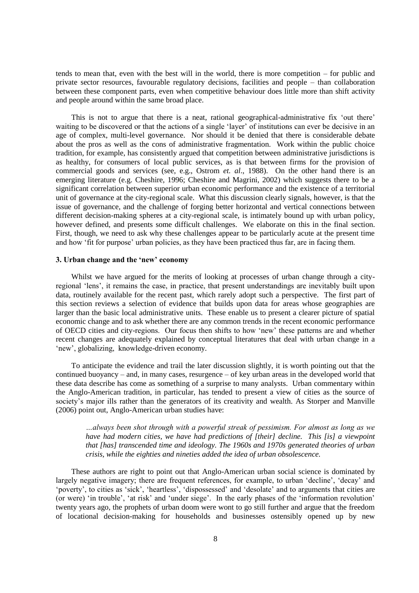tends to mean that, even with the best will in the world, there is more competition – for public and private sector resources, favourable regulatory decisions, facilities and people – than collaboration between these component parts, even when competitive behaviour does little more than shift activity and people around within the same broad place.

This is not to argue that there is a neat, rational geographical-administrative fix 'out there' waiting to be discovered or that the actions of a single 'layer' of institutions can ever be decisive in an age of complex, multi-level governance. Nor should it be denied that there is considerable debate about the pros as well as the cons of administrative fragmentation. Work within the public choice tradition, for example, has consistently argued that competition between administrative jurisdictions is as healthy, for consumers of local public services, as is that between firms for the provision of commercial goods and services (see, e.g., Ostrom *et. al*., 1988). On the other hand there is an emerging literature (e.g. Cheshire, 1996; Cheshire and Magrini, 2002) which suggests there to be a significant correlation between superior urban economic performance and the existence of a territorial unit of governance at the city-regional scale. What this discussion clearly signals, however, is that the issue of governance, and the challenge of forging better horizontal and vertical connections between different decision-making spheres at a city-regional scale, is intimately bound up with urban policy, however defined, and presents some difficult challenges. We elaborate on this in the final section. First, though, we need to ask why these challenges appear to be particularly acute at the present time and how 'fit for purpose' urban policies, as they have been practiced thus far, are in facing them.

### **3. Urban change and the 'new' economy**

Whilst we have argued for the merits of looking at processes of urban change through a cityregional 'lens', it remains the case, in practice, that present understandings are inevitably built upon data, routinely available for the recent past, which rarely adopt such a perspective. The first part of this section reviews a selection of evidence that builds upon data for areas whose geographies are larger than the basic local administrative units. These enable us to present a clearer picture of spatial economic change and to ask whether there are any common trends in the recent economic performance of OECD cities and city-regions. Our focus then shifts to how 'new' these patterns are and whether recent changes are adequately explained by conceptual literatures that deal with urban change in a 'new', globalizing, knowledge-driven economy.

To anticipate the evidence and trail the later discussion slightly, it is worth pointing out that the continued buoyancy – and, in many cases, resurgence – of key urban areas in the developed world that these data describe has come as something of a surprise to many analysts. Urban commentary within the Anglo-American tradition, in particular, has tended to present a view of cities as the source of society's major ills rather than the generators of its creativity and wealth. As Storper and Manville (2006) point out, Anglo-American urban studies have:

*…always been shot through with a powerful streak of pessimism. For almost as long as we have had modern cities, we have had predictions of [their] decline. This [is] a viewpoint that [has] transcended time and ideology. The 1960s and 1970s generated theories of urban crisis, while the eighties and nineties added the idea of urban obsolescence.*

These authors are right to point out that Anglo-American urban social science is dominated by largely negative imagery; there are frequent references, for example, to urban 'decline', 'decay' and 'poverty', to cities as 'sick', 'heartless', 'dispossessed' and 'desolate' and to arguments that cities are (or were) 'in trouble', 'at risk' and 'under siege'. In the early phases of the 'information revolution' twenty years ago, the prophets of urban doom were wont to go still further and argue that the freedom of locational decision-making for households and businesses ostensibly opened up by new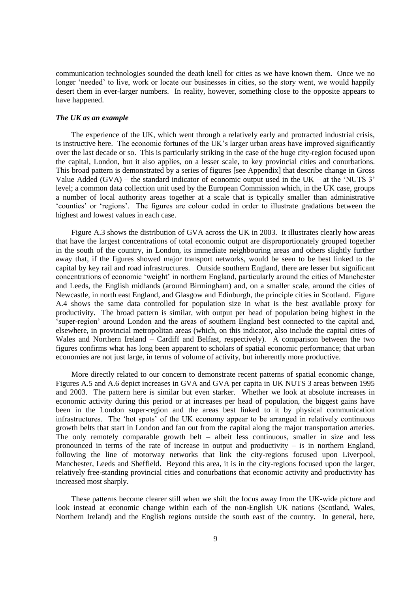communication technologies sounded the death knell for cities as we have known them. Once we no longer 'needed' to live, work or locate our businesses in cities, so the story went, we would happily desert them in ever-larger numbers. In reality, however, something close to the opposite appears to have happened.

### *The UK as an example*

The experience of the UK, which went through a relatively early and protracted industrial crisis, is instructive here. The economic fortunes of the UK's larger urban areas have improved significantly over the last decade or so. This is particularly striking in the case of the huge city-region focused upon the capital, London, but it also applies, on a lesser scale, to key provincial cities and conurbations. This broad pattern is demonstrated by a series of figures [see Appendix] that describe change in Gross Value Added (GVA) – the standard indicator of economic output used in the UK – at the 'NUTS  $3'$ ' level; a common data collection unit used by the European Commission which, in the UK case, groups a number of local authority areas together at a scale that is typically smaller than administrative 'counties' or 'regions'. The figures are colour coded in order to illustrate gradations between the highest and lowest values in each case.

Figure A.3 shows the distribution of GVA across the UK in 2003. It illustrates clearly how areas that have the largest concentrations of total economic output are disproportionately grouped together in the south of the country, in London, its immediate neighbouring areas and others slightly further away that, if the figures showed major transport networks, would be seen to be best linked to the capital by key rail and road infrastructures. Outside southern England, there are lesser but significant concentrations of economic 'weight' in northern England, particularly around the cities of Manchester and Leeds, the English midlands (around Birmingham) and, on a smaller scale, around the cities of Newcastle, in north east England, and Glasgow and Edinburgh, the principle cities in Scotland. Figure A.4 shows the same data controlled for population size in what is the best available proxy for productivity. The broad pattern is similar, with output per head of population being highest in the 'super-region' around London and the areas of southern England best connected to the capital and, elsewhere, in provincial metropolitan areas (which, on this indicator, also include the capital cities of Wales and Northern Ireland – Cardiff and Belfast, respectively). A comparison between the two figures confirms what has long been apparent to scholars of spatial economic performance; that urban economies are not just large, in terms of volume of activity, but inherently more productive.

More directly related to our concern to demonstrate recent patterns of spatial economic change, Figures A.5 and A.6 depict increases in GVA and GVA per capita in UK NUTS 3 areas between 1995 and 2003. The pattern here is similar but even starker. Whether we look at absolute increases in economic activity during this period or at increases per head of population, the biggest gains have been in the London super-region and the areas best linked to it by physical communication infrastructures. The 'hot spots' of the UK economy appear to be arranged in relatively continuous growth belts that start in London and fan out from the capital along the major transportation arteries. The only remotely comparable growth belt – albeit less continuous, smaller in size and less pronounced in terms of the rate of increase in output and productivity – is in northern England, following the line of motorway networks that link the city-regions focused upon Liverpool, Manchester, Leeds and Sheffield. Beyond this area, it is in the city-regions focused upon the larger, relatively free-standing provincial cities and conurbations that economic activity and productivity has increased most sharply.

These patterns become clearer still when we shift the focus away from the UK-wide picture and look instead at economic change within each of the non-English UK nations (Scotland, Wales, Northern Ireland) and the English regions outside the south east of the country. In general, here,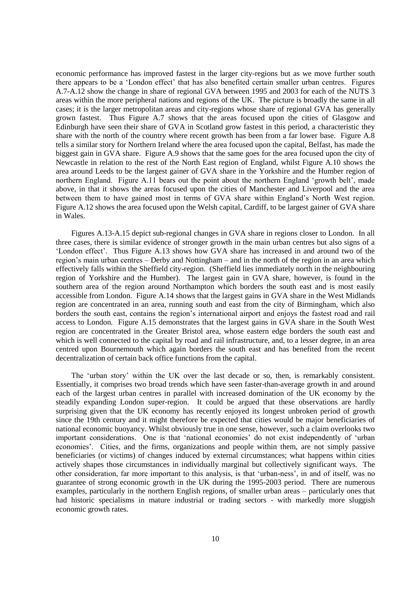economic performance has improved fastest in the larger city-regions but as we move further south there appears to be a 'London effect' that has also benefited certain smaller urban centres. Figures A.7-A.12 show the change in share of regional GVA between 1995 and 2003 for each of the NUTS 3 areas within the more peripheral nations and regions of the UK. The picture is broadly the same in all cases; it is the larger metropolitan areas and city-regions whose share of regional GVA has generally grown fastest. Thus Figure A.7 shows that the areas focused upon the cities of Glasgow and Edinburgh have seen their share of GVA in Scotland grow fastest in this period, a characteristic they share with the north of the country where recent growth has been from a far lower base. Figure A.8 tells a similar story for Northern Ireland where the area focused upon the capital, Belfast, has made the biggest gain in GVA share. Figure A.9 shows that the same goes for the area focused upon the city of Newcastle in relation to the rest of the North East region of England, whilst Figure A.10 shows the area around Leeds to be the largest gainer of GVA share in the Yorkshire and the Humber region of northern England. Figure A.11 bears out the point about the northern England 'growth belt', made above, in that it shows the areas focused upon the cities of Manchester and Liverpool and the area between them to have gained most in terms of GVA share within England's North West region. Figure A.12 shows the area focused upon the Welsh capital, Cardiff, to be largest gainer of GVA share in Wales.

Figures A.13-A.15 depict sub-regional changes in GVA share in regions closer to London. In all three cases, there is similar evidence of stronger growth in the main urban centres but also signs of a 'London effect'. Thus Figure A.13 shows how GVA share has increased in and around two of the region's main urban centres – Derby and Nottingham – and in the north of the region in an area which effectively falls within the Sheffield city-region. (Sheffield lies immediately north in the neighbouring region of Yorkshire and the Humber). The largest gain in GVA share, however, is found in the southern area of the region around Northampton which borders the south east and is most easily accessible from London. Figure A.14 shows that the largest gains in GVA share in the West Midlands region are concentrated in an area, running south and east from the city of Birmingham, which also borders the south east, contains the region's international airport and enjoys the fastest road and rail access to London. Figure A.15 demonstrates that the largest gains in GVA share in the South West region are concentrated in the Greater Bristol area, whose eastern edge borders the south east and which is well connected to the capital by road and rail infrastructure, and, to a lesser degree, in an area centred upon Bournemouth which again borders the south east and has benefited from the recent decentralization of certain back office functions from the capital.

The 'urban story' within the UK over the last decade or so, then, is remarkably consistent. Essentially, it comprises two broad trends which have seen faster-than-average growth in and around each of the largest urban centres in parallel with increased domination of the UK economy by the steadily expanding London super-region. It could be argued that these observations are hardly surprising given that the UK economy has recently enjoyed its longest unbroken period of growth since the 19th century and it might therefore be expected that cities would be major beneficiaries of national economic buoyancy. Whilst obviously true in one sense, however, such a claim overlooks two important considerations. One is that 'national economies' do not exist independently of 'urban economies'. Cities, and the firms, organizations and people within them, are not simply passive beneficiaries (or victims) of changes induced by external circumstances; what happens within cities actively shapes those circumstances in individually marginal but collectively significant ways. The other consideration, far more important to this analysis, is that 'urban-ness', in and of itself, was no guarantee of strong economic growth in the UK during the 1995-2003 period. There are numerous examples, particularly in the northern English regions, of smaller urban areas – particularly ones that had historic specialisms in mature industrial or trading sectors - with markedly more sluggish economic growth rates.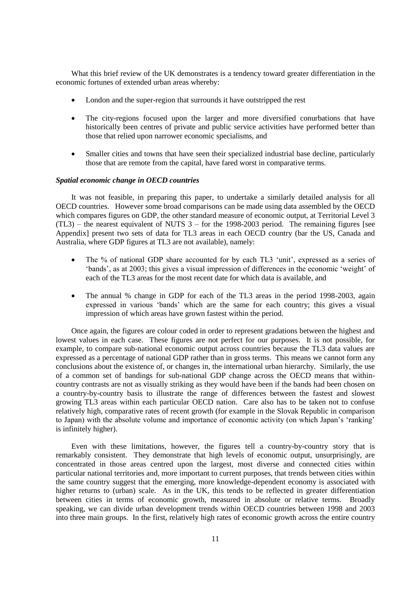What this brief review of the UK demonstrates is a tendency toward greater differentiation in the economic fortunes of extended urban areas whereby:

- London and the super-region that surrounds it have outstripped the rest
- The city-regions focused upon the larger and more diversified conurbations that have historically been centres of private and public service activities have performed better than those that relied upon narrower economic specialisms, and
- Smaller cities and towns that have seen their specialized industrial base decline, particularly those that are remote from the capital, have fared worst in comparative terms.

### *Spatial economic change in OECD countries*

It was not feasible, in preparing this paper, to undertake a similarly detailed analysis for all OECD countries. However some broad comparisons can be made using data assembled by the OECD which compares figures on GDP, the other standard measure of economic output, at Territorial Level 3 (TL3) – the nearest equivalent of NUTS 3 – for the 1998-2003 period. The remaining figures [see Appendix] present two sets of data for TL3 areas in each OECD country (bar the US, Canada and Australia, where GDP figures at TL3 are not available), namely:

- The % of national GDP share accounted for by each TL3 'unit', expressed as a series of 'bands', as at 2003; this gives a visual impression of differences in the economic 'weight' of each of the TL3 areas for the most recent date for which data is available, and
- The annual % change in GDP for each of the TL3 areas in the period 1998-2003, again expressed in various 'bands' which are the same for each country; this gives a visual impression of which areas have grown fastest within the period.

Once again, the figures are colour coded in order to represent gradations between the highest and lowest values in each case. These figures are not perfect for our purposes. It is not possible, for example, to compare sub-national economic output across countries because the TL3 data values are expressed as a percentage of national GDP rather than in gross terms. This means we cannot form any conclusions about the existence of, or changes in, the international urban hierarchy. Similarly, the use of a common set of bandings for sub-national GDP change across the OECD means that withincountry contrasts are not as visually striking as they would have been if the bands had been chosen on a country-by-country basis to illustrate the range of differences between the fastest and slowest growing TL3 areas within each particular OECD nation. Care also has to be taken not to confuse relatively high, comparative rates of recent growth (for example in the Slovak Republic in comparison to Japan) with the absolute volume and importance of economic activity (on which Japan's 'ranking' is infinitely higher).

Even with these limitations, however, the figures tell a country-by-country story that is remarkably consistent. They demonstrate that high levels of economic output, unsurprisingly, are concentrated in those areas centred upon the largest, most diverse and connected cities within particular national territories and, more important to current purposes, that trends between cities within the same country suggest that the emerging, more knowledge-dependent economy is associated with higher returns to (urban) scale. As in the UK, this tends to be reflected in greater differentiation between cities in terms of economic growth, measured in absolute or relative terms. Broadly speaking, we can divide urban development trends within OECD countries between 1998 and 2003 into three main groups. In the first, relatively high rates of economic growth across the entire country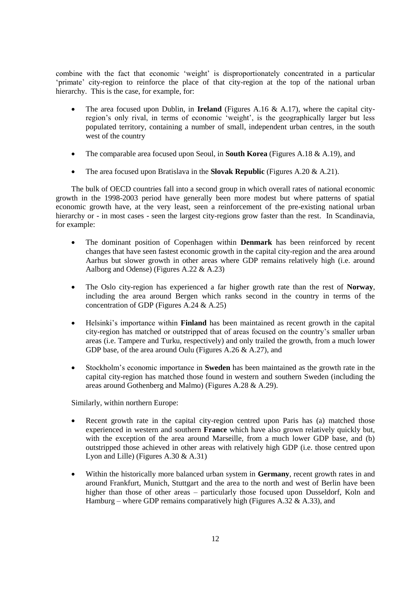combine with the fact that economic 'weight' is disproportionately concentrated in a particular 'primate' city-region to reinforce the place of that city-region at the top of the national urban hierarchy. This is the case, for example, for:

- The area focused upon Dublin, in **Ireland** (Figures A.16 & A.17), where the capital cityregion's only rival, in terms of economic 'weight', is the geographically larger but less populated territory, containing a number of small, independent urban centres, in the south west of the country
- The comparable area focused upon Seoul, in **South Korea** (Figures A.18 & A.19), and
- The area focused upon Bratislava in the **Slovak Republic** (Figures A.20 & A.21).

The bulk of OECD countries fall into a second group in which overall rates of national economic growth in the 1998-2003 period have generally been more modest but where patterns of spatial economic growth have, at the very least, seen a reinforcement of the pre-existing national urban hierarchy or - in most cases - seen the largest city-regions grow faster than the rest. In Scandinavia, for example:

- The dominant position of Copenhagen within **Denmark** has been reinforced by recent changes that have seen fastest economic growth in the capital city-region and the area around Aarhus but slower growth in other areas where GDP remains relatively high (i.e. around Aalborg and Odense) (Figures A.22 & A.23)
- The Oslo city-region has experienced a far higher growth rate than the rest of **Norway**, including the area around Bergen which ranks second in the country in terms of the concentration of GDP (Figures A.24 & A.25)
- Helsinki's importance within **Finland** has been maintained as recent growth in the capital city-region has matched or outstripped that of areas focused on the country's smaller urban areas (i.e. Tampere and Turku, respectively) and only trailed the growth, from a much lower GDP base, of the area around Oulu (Figures A.26 & A.27), and
- Stockholm's economic importance in **Sweden** has been maintained as the growth rate in the capital city-region has matched those found in western and southern Sweden (including the areas around Gothenberg and Malmo) (Figures A.28 & A.29).

Similarly, within northern Europe:

- Recent growth rate in the capital city-region centred upon Paris has (a) matched those experienced in western and southern **France** which have also grown relatively quickly but, with the exception of the area around Marseille, from a much lower GDP base, and (b) outstripped those achieved in other areas with relatively high GDP (i.e. those centred upon Lyon and Lille) (Figures A.30  $\&$  A.31)
- Within the historically more balanced urban system in **Germany**, recent growth rates in and around Frankfurt, Munich, Stuttgart and the area to the north and west of Berlin have been higher than those of other areas – particularly those focused upon Dusseldorf, Koln and Hamburg – where GDP remains comparatively high (Figures A.32  $\&$  A.33), and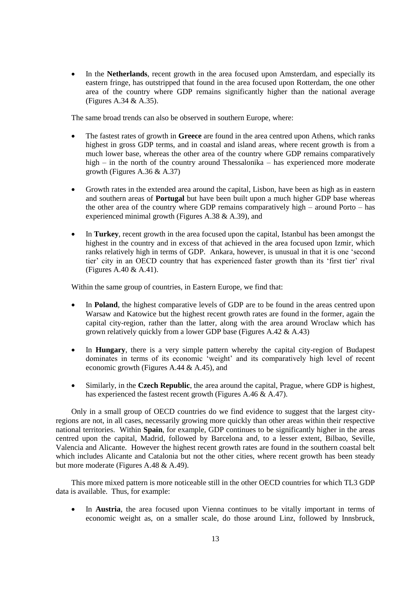In the **Netherlands**, recent growth in the area focused upon Amsterdam, and especially its eastern fringe, has outstripped that found in the area focused upon Rotterdam, the one other area of the country where GDP remains significantly higher than the national average (Figures A.34 & A.35).

The same broad trends can also be observed in southern Europe, where:

- The fastest rates of growth in **Greece** are found in the area centred upon Athens, which ranks highest in gross GDP terms, and in coastal and island areas, where recent growth is from a much lower base, whereas the other area of the country where GDP remains comparatively high – in the north of the country around Thessalonika – has experienced more moderate growth (Figures A.36 & A.37)
- Growth rates in the extended area around the capital, Lisbon, have been as high as in eastern and southern areas of **Portugal** but have been built upon a much higher GDP base whereas the other area of the country where GDP remains comparatively high – around Porto – has experienced minimal growth (Figures A.38 & A.39), and
- In **Turkey**, recent growth in the area focused upon the capital, Istanbul has been amongst the highest in the country and in excess of that achieved in the area focused upon Izmir, which ranks relatively high in terms of GDP. Ankara, however, is unusual in that it is one 'second tier' city in an OECD country that has experienced faster growth than its 'first tier' rival (Figures A.40 & A.41).

Within the same group of countries, in Eastern Europe, we find that:

- In **Poland**, the highest comparative levels of GDP are to be found in the areas centred upon Warsaw and Katowice but the highest recent growth rates are found in the former, again the capital city-region, rather than the latter, along with the area around Wroclaw which has grown relatively quickly from a lower GDP base (Figures A.42 & A.43)
- In **Hungary**, there is a very simple pattern whereby the capital city-region of Budapest dominates in terms of its economic 'weight' and its comparatively high level of recent economic growth (Figures A.44 & A.45), and
- Similarly, in the **Czech Republic**, the area around the capital, Prague, where GDP is highest, has experienced the fastest recent growth (Figures A.46 & A.47).

Only in a small group of OECD countries do we find evidence to suggest that the largest cityregions are not, in all cases, necessarily growing more quickly than other areas within their respective national territories. Within **Spain**, for example, GDP continues to be significantly higher in the areas centred upon the capital, Madrid, followed by Barcelona and, to a lesser extent, Bilbao, Seville, Valencia and Alicante. However the highest recent growth rates are found in the southern coastal belt which includes Alicante and Catalonia but not the other cities, where recent growth has been steady but more moderate (Figures A.48 & A.49).

This more mixed pattern is more noticeable still in the other OECD countries for which TL3 GDP data is available. Thus, for example:

 In **Austria**, the area focused upon Vienna continues to be vitally important in terms of economic weight as, on a smaller scale, do those around Linz, followed by Innsbruck,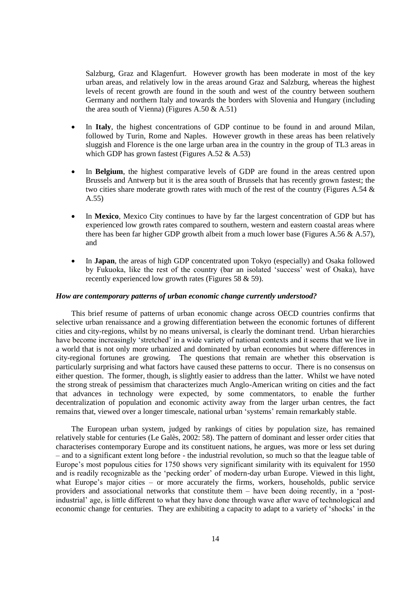Salzburg, Graz and Klagenfurt. However growth has been moderate in most of the key urban areas, and relatively low in the areas around Graz and Salzburg, whereas the highest levels of recent growth are found in the south and west of the country between southern Germany and northern Italy and towards the borders with Slovenia and Hungary (including the area south of Vienna) (Figures A.50  $\&$  A.51)

- In **Italy**, the highest concentrations of GDP continue to be found in and around Milan, followed by Turin, Rome and Naples. However growth in these areas has been relatively sluggish and Florence is the one large urban area in the country in the group of TL3 areas in which GDP has grown fastest (Figures A.52 & A.53)
- In **Belgium**, the highest comparative levels of GDP are found in the areas centred upon Brussels and Antwerp but it is the area south of Brussels that has recently grown fastest; the two cities share moderate growth rates with much of the rest of the country (Figures A.54 & A.55)
- In **Mexico**, Mexico City continues to have by far the largest concentration of GDP but has experienced low growth rates compared to southern, western and eastern coastal areas where there has been far higher GDP growth albeit from a much lower base (Figures A.56  $\&$  A.57), and
- In **Japan**, the areas of high GDP concentrated upon Tokyo (especially) and Osaka followed by Fukuoka, like the rest of the country (bar an isolated 'success' west of Osaka), have recently experienced low growth rates (Figures 58 & 59).

### *How are contemporary patterns of urban economic change currently understood?*

This brief resume of patterns of urban economic change across OECD countries confirms that selective urban renaissance and a growing differentiation between the economic fortunes of different cities and city-regions, whilst by no means universal, is clearly the dominant trend. Urban hierarchies have become increasingly 'stretched' in a wide variety of national contexts and it seems that we live in a world that is not only more urbanized and dominated by urban economies but where differences in city-regional fortunes are growing. The questions that remain are whether this observation is particularly surprising and what factors have caused these patterns to occur. There is no consensus on either question. The former, though, is slightly easier to address than the latter. Whilst we have noted the strong streak of pessimism that characterizes much Anglo-American writing on cities and the fact that advances in technology were expected, by some commentators, to enable the further decentralization of population and economic activity away from the larger urban centres, the fact remains that, viewed over a longer timescale, national urban 'systems' remain remarkably stable.

The European urban system, judged by rankings of cities by population size, has remained relatively stable for centuries (Le Galès, 2002: 58). The pattern of dominant and lesser order cities that characterises contemporary Europe and its constituent nations, he argues, was more or less set during – and to a significant extent long before - the industrial revolution, so much so that the league table of Europe's most populous cities for 1750 shows very significant similarity with its equivalent for 1950 and is readily recognizable as the 'pecking order' of modern-day urban Europe. Viewed in this light, what Europe's major cities – or more accurately the firms, workers, households, public service providers and associational networks that constitute them – have been doing recently, in a 'postindustrial' age, is little different to what they have done through wave after wave of technological and economic change for centuries. They are exhibiting a capacity to adapt to a variety of 'shocks' in the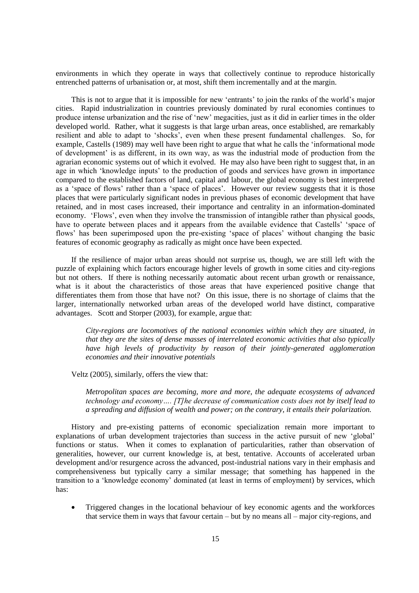environments in which they operate in ways that collectively continue to reproduce historically entrenched patterns of urbanisation or, at most, shift them incrementally and at the margin.

This is not to argue that it is impossible for new 'entrants' to join the ranks of the world's major cities. Rapid industrialization in countries previously dominated by rural economies continues to produce intense urbanization and the rise of 'new' megacities, just as it did in earlier times in the older developed world. Rather, what it suggests is that large urban areas, once established, are remarkably resilient and able to adapt to 'shocks', even when these present fundamental challenges. So, for example, Castells (1989) may well have been right to argue that what he calls the 'informational mode of development' is as different, in its own way, as was the industrial mode of production from the agrarian economic systems out of which it evolved. He may also have been right to suggest that, in an age in which 'knowledge inputs' to the production of goods and services have grown in importance compared to the established factors of land, capital and labour, the global economy is best interpreted as a 'space of flows' rather than a 'space of places'. However our review suggests that it is those places that were particularly significant nodes in previous phases of economic development that have retained, and in most cases increased, their importance and centrality in an information-dominated economy. 'Flows', even when they involve the transmission of intangible rather than physical goods, have to operate between places and it appears from the available evidence that Castells' 'space of flows' has been superimposed upon the pre-existing 'space of places' without changing the basic features of economic geography as radically as might once have been expected.

If the resilience of major urban areas should not surprise us, though, we are still left with the puzzle of explaining which factors encourage higher levels of growth in some cities and city-regions but not others. If there is nothing necessarily automatic about recent urban growth or renaissance, what is it about the characteristics of those areas that have experienced positive change that differentiates them from those that have not? On this issue, there is no shortage of claims that the larger, internationally networked urban areas of the developed world have distinct, comparative advantages. Scott and Storper (2003), for example, argue that:

*City-regions are locomotives of the national economies within which they are situated, in that they are the sites of dense masses of interrelated economic activities that also typically have high levels of productivity by reason of their jointly-generated agglomeration economies and their innovative potentials* 

Veltz (2005), similarly, offers the view that:

*Metropolitan spaces are becoming, more and more, the adequate ecosystems of advanced technology and economy…. [T]he decrease of communication costs does not by itself lead to a spreading and diffusion of wealth and power; on the contrary, it entails their polarization.*

History and pre-existing patterns of economic specialization remain more important to explanations of urban development trajectories than success in the active pursuit of new 'global' functions or status. When it comes to explanation of particularities, rather than observation of generalities, however, our current knowledge is, at best, tentative. Accounts of accelerated urban development and/or resurgence across the advanced, post-industrial nations vary in their emphasis and comprehensiveness but typically carry a similar message; that something has happened in the transition to a 'knowledge economy' dominated (at least in terms of employment) by services, which has:

 Triggered changes in the locational behaviour of key economic agents and the workforces that service them in ways that favour certain – but by no means all – major city-regions, and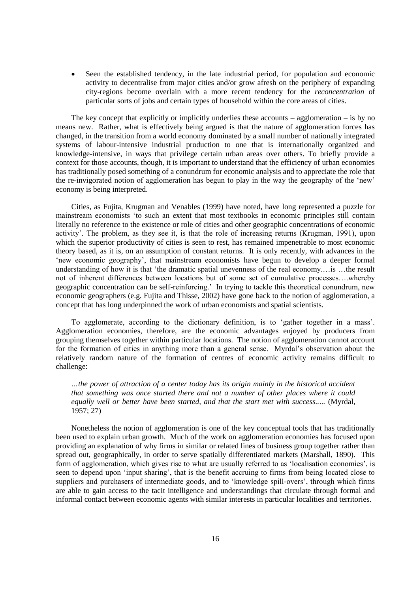Seen the established tendency, in the late industrial period, for population and economic activity to decentralise from major cities and/or grow afresh on the periphery of expanding city-regions become overlain with a more recent tendency for the *reconcentration* of particular sorts of jobs and certain types of household within the core areas of cities.

The key concept that explicitly or implicitly underlies these accounts  $-$  agglomeration  $-$  is by no means new. Rather, what is effectively being argued is that the nature of agglomeration forces has changed, in the transition from a world economy dominated by a small number of nationally integrated systems of labour-intensive industrial production to one that is internationally organized and knowledge-intensive, in ways that privilege certain urban areas over others. To briefly provide a context for those accounts, though, it is important to understand that the efficiency of urban economies has traditionally posed something of a conundrum for economic analysis and to appreciate the role that the re-invigorated notion of agglomeration has begun to play in the way the geography of the 'new' economy is being interpreted.

Cities, as Fujita, Krugman and Venables (1999) have noted, have long represented a puzzle for mainstream economists 'to such an extent that most textbooks in economic principles still contain literally no reference to the existence or role of cities and other geographic concentrations of economic activity'. The problem, as they see it, is that the role of increasing returns (Krugman, 1991), upon which the superior productivity of cities is seen to rest, has remained impenetrable to most economic theory based, as it is, on an assumption of constant returns. It is only recently, with advances in the 'new economic geography', that mainstream economists have begun to develop a deeper formal understanding of how it is that 'the dramatic spatial unevenness of the real economy.…is …the result not of inherent differences between locations but of some set of cumulative processes….whereby geographic concentration can be self-reinforcing.' In trying to tackle this theoretical conundrum, new economic geographers (e.g. Fujita and Thisse, 2002) have gone back to the notion of agglomeration, a concept that has long underpinned the work of urban economists and spatial scientists.

To agglomerate, according to the dictionary definition, is to 'gather together in a mass'. Agglomeration economies, therefore, are the economic advantages enjoyed by producers from grouping themselves together within particular locations. The notion of agglomeration cannot account for the formation of cities in anything more than a general sense. Myrdal's observation about the relatively random nature of the formation of centres of economic activity remains difficult to challenge:

*…the power of attraction of a center today has its origin mainly in the historical accident that something was once started there and not a number of other places where it could equally well or better have been started, and that the start met with success.....* (Myrdal, 1957; 27)

Nonetheless the notion of agglomeration is one of the key conceptual tools that has traditionally been used to explain urban growth. Much of the work on agglomeration economies has focused upon providing an explanation of why firms in similar or related lines of business group together rather than spread out, geographically, in order to serve spatially differentiated markets (Marshall, 1890). This form of agglomeration, which gives rise to what are usually referred to as 'localisation economies', is seen to depend upon 'input sharing', that is the benefit accruing to firms from being located close to suppliers and purchasers of intermediate goods, and to 'knowledge spill-overs', through which firms are able to gain access to the tacit intelligence and understandings that circulate through formal and informal contact between economic agents with similar interests in particular localities and territories.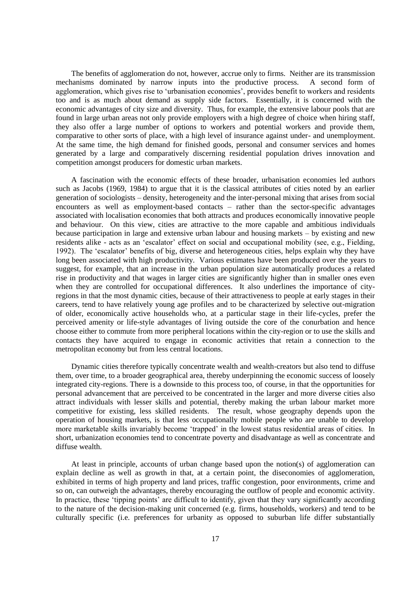The benefits of agglomeration do not, however, accrue only to firms. Neither are its transmission mechanisms dominated by narrow inputs into the productive process. A second form of agglomeration, which gives rise to 'urbanisation economies', provides benefit to workers and residents too and is as much about demand as supply side factors. Essentially, it is concerned with the economic advantages of city size and diversity. Thus, for example, the extensive labour pools that are found in large urban areas not only provide employers with a high degree of choice when hiring staff, they also offer a large number of options to workers and potential workers and provide them, comparative to other sorts of place, with a high level of insurance against under- and unemployment. At the same time, the high demand for finished goods, personal and consumer services and homes generated by a large and comparatively discerning residential population drives innovation and competition amongst producers for domestic urban markets.

A fascination with the economic effects of these broader, urbanisation economies led authors such as Jacobs (1969, 1984) to argue that it is the classical attributes of cities noted by an earlier generation of sociologists – density, heterogeneity and the inter-personal mixing that arises from social encounters as well as employment-based contacts – rather than the sector-specific advantages associated with localisation economies that both attracts and produces economically innovative people and behaviour. On this view, cities are attractive to the more capable and ambitious individuals because participation in large and extensive urban labour and housing markets – by existing and new residents alike - acts as an 'escalator' effect on social and occupational mobility (see, e.g., Fielding, 1992). The 'escalator' benefits of big, diverse and heterogeneous cities, helps explain why they have long been associated with high productivity. Various estimates have been produced over the years to suggest, for example, that an increase in the urban population size automatically produces a related rise in productivity and that wages in larger cities are significantly higher than in smaller ones even when they are controlled for occupational differences. It also underlines the importance of cityregions in that the most dynamic cities, because of their attractiveness to people at early stages in their careers, tend to have relatively young age profiles and to be characterized by selective out-migration of older, economically active households who, at a particular stage in their life-cycles, prefer the perceived amenity or life-style advantages of living outside the core of the conurbation and hence choose either to commute from more peripheral locations within the city-region or to use the skills and contacts they have acquired to engage in economic activities that retain a connection to the metropolitan economy but from less central locations.

Dynamic cities therefore typically concentrate wealth and wealth-creators but also tend to diffuse them, over time, to a broader geographical area, thereby underpinning the economic success of loosely integrated city-regions. There is a downside to this process too, of course, in that the opportunities for personal advancement that are perceived to be concentrated in the larger and more diverse cities also attract individuals with lesser skills and potential, thereby making the urban labour market more competitive for existing, less skilled residents. The result, whose geography depends upon the operation of housing markets, is that less occupationally mobile people who are unable to develop more marketable skills invariably become 'trapped' in the lowest status residential areas of cities. In short, urbanization economies tend to concentrate poverty and disadvantage as well as concentrate and diffuse wealth.

At least in principle, accounts of urban change based upon the notion(s) of agglomeration can explain decline as well as growth in that, at a certain point, the diseconomies of agglomeration, exhibited in terms of high property and land prices, traffic congestion, poor environments, crime and so on, can outweigh the advantages, thereby encouraging the outflow of people and economic activity. In practice, these 'tipping points' are difficult to identify, given that they vary significantly according to the nature of the decision-making unit concerned (e.g. firms, households, workers) and tend to be culturally specific (i.e. preferences for urbanity as opposed to suburban life differ substantially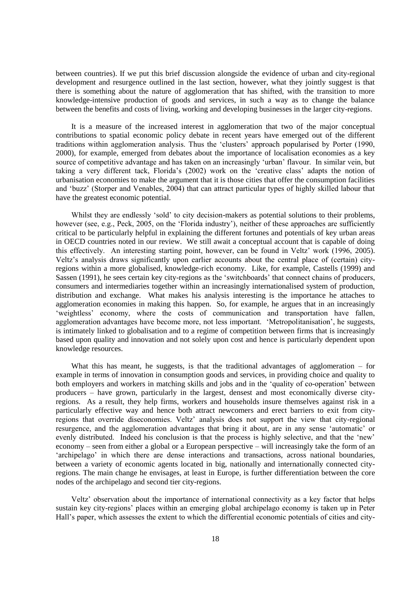between countries). If we put this brief discussion alongside the evidence of urban and city-regional development and resurgence outlined in the last section, however, what they jointly suggest is that there is something about the nature of agglomeration that has shifted, with the transition to more knowledge-intensive production of goods and services, in such a way as to change the balance between the benefits and costs of living, working and developing businesses in the larger city-regions.

It is a measure of the increased interest in agglomeration that two of the major conceptual contributions to spatial economic policy debate in recent years have emerged out of the different traditions within agglomeration analysis. Thus the 'clusters' approach popularised by Porter (1990, 2000), for example, emerged from debates about the importance of localisation economies as a key source of competitive advantage and has taken on an increasingly 'urban' flavour. In similar vein, but taking a very different tack, Florida's (2002) work on the 'creative class' adapts the notion of urbanisation economies to make the argument that it is those cities that offer the consumption facilities and 'buzz' (Storper and Venables, 2004) that can attract particular types of highly skilled labour that have the greatest economic potential.

Whilst they are endlessly 'sold' to city decision-makers as potential solutions to their problems, however (see, e.g., Peck, 2005, on the 'Florida industry'), neither of these approaches are sufficiently critical to be particularly helpful in explaining the different fortunes and potentials of key urban areas in OECD countries noted in our review. We still await a conceptual account that is capable of doing this effectively. An interesting starting point, however, can be found in Veltz' work (1996, 2005). Veltz's analysis draws significantly upon earlier accounts about the central place of (certain) cityregions within a more globalised, knowledge-rich economy. Like, for example, Castells (1999) and Sassen (1991), he sees certain key city-regions as the 'switchboards' that connect chains of producers, consumers and intermediaries together within an increasingly internationalised system of production, distribution and exchange. What makes his analysis interesting is the importance he attaches to agglomeration economies in making this happen. So, for example, he argues that in an increasingly 'weightless' economy, where the costs of communication and transportation have fallen, agglomeration advantages have become more, not less important. 'Metropolitanisation', he suggests, is intimately linked to globalisation and to a regime of competition between firms that is increasingly based upon quality and innovation and not solely upon cost and hence is particularly dependent upon knowledge resources.

What this has meant, he suggests, is that the traditional advantages of agglomeration – for example in terms of innovation in consumption goods and services, in providing choice and quality to both employers and workers in matching skills and jobs and in the 'quality of co-operation' between producers – have grown, particularly in the largest, densest and most economically diverse cityregions. As a result, they help firms, workers and households insure themselves against risk in a particularly effective way and hence both attract newcomers and erect barriers to exit from cityregions that override diseconomies. Veltz' analysis does not support the view that city-regional resurgence, and the agglomeration advantages that bring it about, are in any sense 'automatic' or evenly distributed. Indeed his conclusion is that the process is highly selective, and that the 'new' economy – seen from either a global or a European perspective – will increasingly take the form of an 'archipelago' in which there are dense interactions and transactions, across national boundaries, between a variety of economic agents located in big, nationally and internationally connected cityregions. The main change he envisages, at least in Europe, is further differentiation between the core nodes of the archipelago and second tier city-regions.

Veltz' observation about the importance of international connectivity as a key factor that helps sustain key city-regions' places within an emerging global archipelago economy is taken up in Peter Hall's paper, which assesses the extent to which the differential economic potentials of cities and city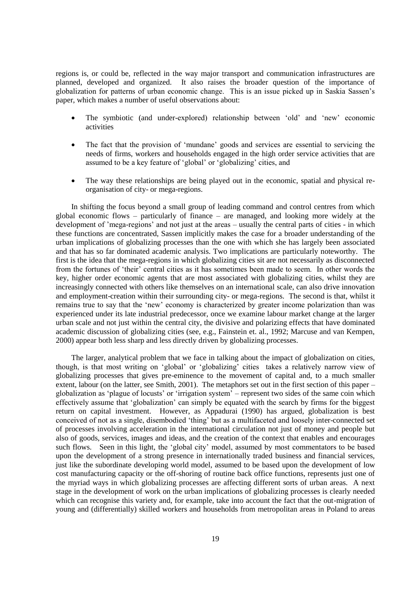regions is, or could be, reflected in the way major transport and communication infrastructures are planned, developed and organized. It also raises the broader question of the importance of globalization for patterns of urban economic change. This is an issue picked up in Saskia Sassen's paper, which makes a number of useful observations about:

- The symbiotic (and under-explored) relationship between 'old' and 'new' economic activities
- The fact that the provision of 'mundane' goods and services are essential to servicing the needs of firms, workers and households engaged in the high order service activities that are assumed to be a key feature of 'global' or 'globalizing' cities, and
- The way these relationships are being played out in the economic, spatial and physical reorganisation of city- or mega-regions.

In shifting the focus beyond a small group of leading command and control centres from which global economic flows – particularly of finance – are managed, and looking more widely at the development of 'mega-regions' and not just at the areas – usually the central parts of cities - in which these functions are concentrated, Sassen implicitly makes the case for a broader understanding of the urban implications of globalizing processes than the one with which she has largely been associated and that has so far dominated academic analysis. Two implications are particularly noteworthy. The first is the idea that the mega-regions in which globalizing cities sit are not necessarily as disconnected from the fortunes of 'their' central cities as it has sometimes been made to seem. In other words the key, higher order economic agents that are most associated with globalizing cities, whilst they are increasingly connected with others like themselves on an international scale, can also drive innovation and employment-creation within their surrounding city- or mega-regions. The second is that, whilst it remains true to say that the 'new' economy is characterized by greater income polarization than was experienced under its late industrial predecessor, once we examine labour market change at the larger urban scale and not just within the central city, the divisive and polarizing effects that have dominated academic discussion of globalizing cities (see, e.g., Fainstein et. al., 1992; Marcuse and van Kempen, 2000) appear both less sharp and less directly driven by globalizing processes.

The larger, analytical problem that we face in talking about the impact of globalization on cities, though, is that most writing on 'global' or 'globalizing' cities takes a relatively narrow view of globalizing processes that gives pre-eminence to the movement of capital and, to a much smaller extent, labour (on the latter, see Smith, 2001). The metaphors set out in the first section of this paper – globalization as 'plague of locusts' or 'irrigation system' – represent two sides of the same coin which effectively assume that 'globalization' can simply be equated with the search by firms for the biggest return on capital investment. However, as Appadurai (1990) has argued, globalization is best conceived of not as a single, disembodied 'thing' but as a multifaceted and loosely inter-connected set of processes involving acceleration in the international circulation not just of money and people but also of goods, services, images and ideas, and the creation of the context that enables and encourages such flows. Seen in this light, the 'global city' model, assumed by most commentators to be based upon the development of a strong presence in internationally traded business and financial services, just like the subordinate developing world model, assumed to be based upon the development of low cost manufacturing capacity or the off-shoring of routine back office functions, represents just one of the myriad ways in which globalizing processes are affecting different sorts of urban areas. A next stage in the development of work on the urban implications of globalizing processes is clearly needed which can recognise this variety and, for example, take into account the fact that the out-migration of young and (differentially) skilled workers and households from metropolitan areas in Poland to areas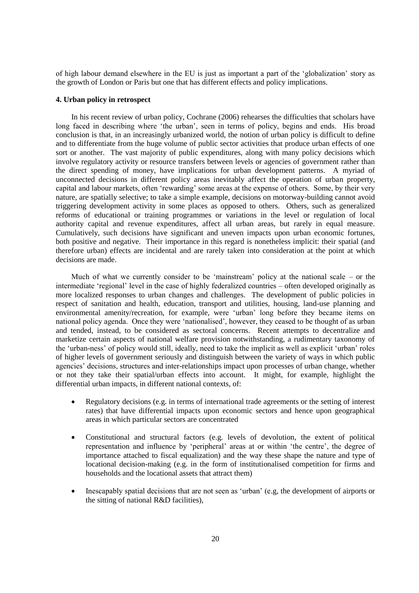of high labour demand elsewhere in the EU is just as important a part of the 'globalization' story as the growth of London or Paris but one that has different effects and policy implications.

### **4. Urban policy in retrospect**

In his recent review of urban policy, Cochrane (2006) rehearses the difficulties that scholars have long faced in describing where 'the urban', seen in terms of policy, begins and ends. His broad conclusion is that, in an increasingly urbanized world, the notion of urban policy is difficult to define and to differentiate from the huge volume of public sector activities that produce urban effects of one sort or another. The vast majority of public expenditures, along with many policy decisions which involve regulatory activity or resource transfers between levels or agencies of government rather than the direct spending of money, have implications for urban development patterns. A myriad of unconnected decisions in different policy areas inevitably affect the operation of urban property, capital and labour markets, often 'rewarding' some areas at the expense of others. Some, by their very nature, are spatially selective; to take a simple example, decisions on motorway-building cannot avoid triggering development activity in some places as opposed to others. Others, such as generalized reforms of educational or training programmes or variations in the level or regulation of local authority capital and revenue expenditures, affect all urban areas, but rarely in equal measure. Cumulatively, such decisions have significant and uneven impacts upon urban economic fortunes, both positive and negative. Their importance in this regard is nonetheless implicit: their spatial (and therefore urban) effects are incidental and are rarely taken into consideration at the point at which decisions are made.

Much of what we currently consider to be 'mainstream' policy at the national scale – or the intermediate 'regional' level in the case of highly federalized countries – often developed originally as more localized responses to urban changes and challenges. The development of public policies in respect of sanitation and health, education, transport and utilities, housing, land-use planning and environmental amenity/recreation, for example, were 'urban' long before they became items on national policy agenda. Once they were 'nationalised', however, they ceased to be thought of as urban and tended, instead, to be considered as sectoral concerns. Recent attempts to decentralize and marketize certain aspects of national welfare provision notwithstanding, a rudimentary taxonomy of the 'urban-ness' of policy would still, ideally, need to take the implicit as well as explicit 'urban' roles of higher levels of government seriously and distinguish between the variety of ways in which public agencies' decisions, structures and inter-relationships impact upon processes of urban change, whether or not they take their spatial/urban effects into account. It might, for example, highlight the differential urban impacts, in different national contexts, of:

- Regulatory decisions (e.g. in terms of international trade agreements or the setting of interest rates) that have differential impacts upon economic sectors and hence upon geographical areas in which particular sectors are concentrated
- Constitutional and structural factors (e.g. levels of devolution, the extent of political representation and influence by 'peripheral' areas at or within 'the centre', the degree of importance attached to fiscal equalization) and the way these shape the nature and type of locational decision-making (e.g. in the form of institutionalised competition for firms and households and the locational assets that attract them)
- Inescapably spatial decisions that are not seen as 'urban' (e.g, the development of airports or the sitting of national R&D facilities),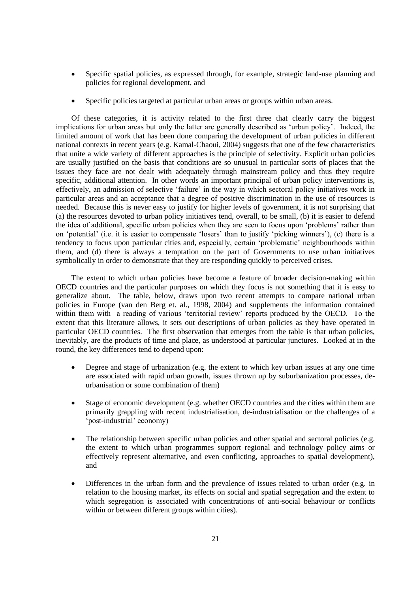- Specific spatial policies, as expressed through, for example, strategic land-use planning and policies for regional development, and
- Specific policies targeted at particular urban areas or groups within urban areas.

Of these categories, it is activity related to the first three that clearly carry the biggest implications for urban areas but only the latter are generally described as 'urban policy'. Indeed, the limited amount of work that has been done comparing the development of urban policies in different national contexts in recent years (e.g. Kamal-Chaoui, 2004) suggests that one of the few characteristics that unite a wide variety of different approaches is the principle of selectivity. Explicit urban policies are usually justified on the basis that conditions are so unusual in particular sorts of places that the issues they face are not dealt with adequately through mainstream policy and thus they require specific, additional attention. In other words an important principal of urban policy interventions is, effectively, an admission of selective 'failure' in the way in which sectoral policy initiatives work in particular areas and an acceptance that a degree of positive discrimination in the use of resources is needed. Because this is never easy to justify for higher levels of government, it is not surprising that (a) the resources devoted to urban policy initiatives tend, overall, to be small, (b) it is easier to defend the idea of additional, specific urban policies when they are seen to focus upon 'problems' rather than on 'potential' (i.e. it is easier to compensate 'losers' than to justify 'picking winners'), (c) there is a tendency to focus upon particular cities and, especially, certain 'problematic' neighbourhoods within them, and (d) there is always a temptation on the part of Governments to use urban initiatives symbolically in order to demonstrate that they are responding quickly to perceived crises.

The extent to which urban policies have become a feature of broader decision-making within OECD countries and the particular purposes on which they focus is not something that it is easy to generalize about. The table, below, draws upon two recent attempts to compare national urban policies in Europe (van den Berg et. al., 1998, 2004) and supplements the information contained within them with a reading of various 'territorial review' reports produced by the OECD. To the extent that this literature allows, it sets out descriptions of urban policies as they have operated in particular OECD countries. The first observation that emerges from the table is that urban policies, inevitably, are the products of time and place, as understood at particular junctures. Looked at in the round, the key differences tend to depend upon:

- Degree and stage of urbanization (e.g. the extent to which key urban issues at any one time are associated with rapid urban growth, issues thrown up by suburbanization processes, deurbanisation or some combination of them)
- Stage of economic development (e.g. whether OECD countries and the cities within them are primarily grappling with recent industrialisation, de-industrialisation or the challenges of a 'post-industrial' economy)
- The relationship between specific urban policies and other spatial and sectoral policies (e.g. the extent to which urban programmes support regional and technology policy aims or effectively represent alternative, and even conflicting, approaches to spatial development), and
- Differences in the urban form and the prevalence of issues related to urban order (e.g. in relation to the housing market, its effects on social and spatial segregation and the extent to which segregation is associated with concentrations of anti-social behaviour or conflicts within or between different groups within cities).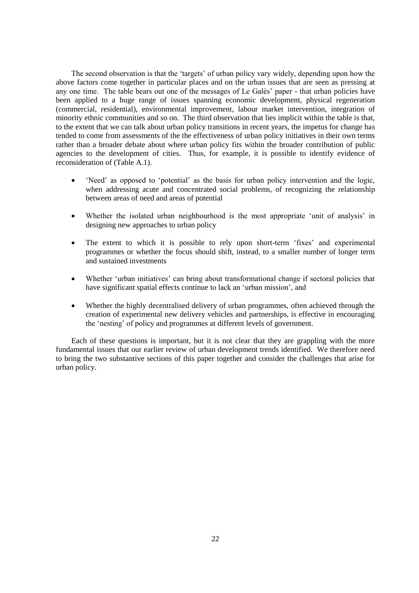The second observation is that the 'targets' of urban policy vary widely, depending upon how the above factors come together in particular places and on the urban issues that are seen as pressing at any one time. The table bears out one of the messages of Le Galès' paper - that urban policies have been applied to a huge range of issues spanning economic development, physical regeneration (commercial, residential), environmental improvement, labour market intervention, integration of minority ethnic communities and so on. The third observation that lies implicit within the table is that, to the extent that we can talk about urban policy transitions in recent years, the impetus for change has tended to come from assessments of the the effectiveness of urban policy initiatives in their own terms rather than a broader debate about where urban policy fits within the broader contribution of public agencies to the development of cities. Thus, for example, it is possible to identify evidence of reconsideration of (Table A.1).

- 'Need' as opposed to 'potential' as the basis for urban policy intervention and the logic, when addressing acute and concentrated social problems, of recognizing the relationship between areas of need and areas of potential
- Whether the isolated urban neighbourhood is the most appropriate 'unit of analysis' in designing new approaches to urban policy
- The extent to which it is possible to rely upon short-term 'fixes' and experimental programmes or whether the focus should shift, instead, to a smaller number of longer term and sustained investments
- Whether 'urban initiatives' can bring about transformational change if sectoral policies that have significant spatial effects continue to lack an 'urban mission', and
- Whether the highly decentralised delivery of urban programmes, often achieved through the creation of experimental new delivery vehicles and partnerships, is effective in encouraging the 'nesting' of policy and programmes at different levels of government.

Each of these questions is important, but it is not clear that they are grappling with the more fundamental issues that our earlier review of urban development trends identified. We therefore need to bring the two substantive sections of this paper together and consider the challenges that arise for urban policy.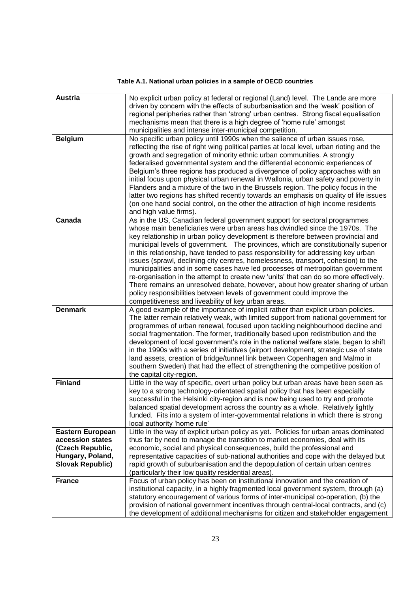# **Table A.1. National urban policies in a sample of OECD countries**

| <b>Austria</b><br><b>Belgium</b>                                                                               | No explicit urban policy at federal or regional (Land) level. The Lande are more<br>driven by concern with the effects of suburbanisation and the 'weak' position of<br>regional peripheries rather than 'strong' urban centres. Strong fiscal equalisation<br>mechanisms mean that there is a high degree of 'home rule' amongst<br>municipalities and intense inter-municipal competition.<br>No specific urban policy until 1990s when the salience of urban issues rose,<br>reflecting the rise of right wing political parties at local level, urban rioting and the                                                                                                                                                                                                                                                                                                                                   |
|----------------------------------------------------------------------------------------------------------------|-------------------------------------------------------------------------------------------------------------------------------------------------------------------------------------------------------------------------------------------------------------------------------------------------------------------------------------------------------------------------------------------------------------------------------------------------------------------------------------------------------------------------------------------------------------------------------------------------------------------------------------------------------------------------------------------------------------------------------------------------------------------------------------------------------------------------------------------------------------------------------------------------------------|
|                                                                                                                | growth and segregation of minority ethnic urban communities. A strongly<br>federalised governmental system and the differential economic experiences of<br>Belgium's three regions has produced a divergence of policy approaches with an<br>initial focus upon physical urban renewal in Wallonia, urban safety and poverty in<br>Flanders and a mixture of the two in the Brussels region. The policy focus in the<br>latter two regions has shifted recently towards an emphasis on quality of life issues<br>(on one hand social control, on the other the attraction of high income residents<br>and high value firms).                                                                                                                                                                                                                                                                                |
| Canada                                                                                                         | As in the US, Canadian federal government support for sectoral programmes<br>whose main beneficiaries were urban areas has dwindled since the 1970s. The<br>key relationship in urban policy development is therefore between provincial and<br>municipal levels of government. The provinces, which are constitutionally superior<br>in this relationship, have tended to pass responsibility for addressing key urban<br>issues (sprawl, declining city centres, homelessness, transport, cohesion) to the<br>municipalities and in some cases have led processes of metropolitan government<br>re-organisation in the attempt to create new 'units' that can do so more effectively.<br>There remains an unresolved debate, however, about how greater sharing of urban<br>policy responsibilities between levels of government could improve the<br>competitiveness and liveability of key urban areas. |
| <b>Denmark</b>                                                                                                 | A good example of the importance of implicit rather than explicit urban policies.<br>The latter remain relatively weak, with limited support from national government for<br>programmes of urban renewal, focused upon tackling neighbourhood decline and<br>social fragmentation. The former, traditionally based upon redistribution and the<br>development of local government's role in the national welfare state, began to shift<br>in the 1990s with a series of initiatives (airport development, strategic use of state<br>land assets, creation of bridge/tunnel link between Copenhagen and Malmo in<br>southern Sweden) that had the effect of strengthening the competitive position of<br>the capital city-region.                                                                                                                                                                            |
| <b>Finland</b>                                                                                                 | Little in the way of specific, overt urban policy but urban areas have been seen as<br>key to a strong technology-orientated spatial policy that has been especially<br>successful in the Helsinki city-region and is now being used to try and promote<br>balanced spatial development across the country as a whole. Relatively lightly<br>funded. Fits into a system of inter-governmental relations in which there is strong<br>local authority 'home rule'                                                                                                                                                                                                                                                                                                                                                                                                                                             |
| <b>Eastern European</b><br>accession states<br>(Czech Republic,<br>Hungary, Poland,<br><b>Slovak Republic)</b> | Little in the way of explicit urban policy as yet. Policies for urban areas dominated<br>thus far by need to manage the transition to market economies, deal with its<br>economic, social and physical consequences, build the professional and<br>representative capacities of sub-national authorities and cope with the delayed but<br>rapid growth of suburbanisation and the depopulation of certain urban centres<br>(particularly their low quality residential areas).                                                                                                                                                                                                                                                                                                                                                                                                                              |
| <b>France</b>                                                                                                  | Focus of urban policy has been on institutional innovation and the creation of<br>institutional capacity, in a highly fragmented local government system, through (a)<br>statutory encouragement of various forms of inter-municipal co-operation, (b) the<br>provision of national government incentives through central-local contracts, and (c)<br>the development of additional mechanisms for citizen and stakeholder engagement                                                                                                                                                                                                                                                                                                                                                                                                                                                                       |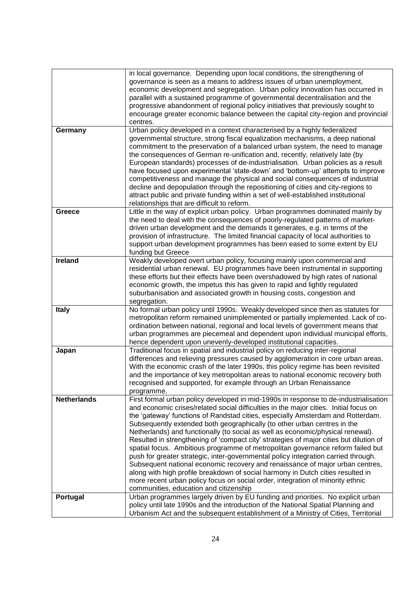|                    | in local governance. Depending upon local conditions, the strengthening of             |
|--------------------|----------------------------------------------------------------------------------------|
|                    | governance is seen as a means to address issues of urban unemployment,                 |
|                    | economic development and segregation. Urban policy innovation has occurred in          |
|                    | parallel with a sustained programme of governmental decentralisation and the           |
|                    | progressive abandonment of regional policy initiatives that previously sought to       |
|                    | encourage greater economic balance between the capital city-region and provincial      |
|                    | centres.                                                                               |
| Germany            | Urban policy developed in a context characterised by a highly federalized              |
|                    | governmental structure, strong fiscal equalization mechanisms, a deep national         |
|                    | commitment to the preservation of a balanced urban system, the need to manage          |
|                    | the consequences of German re-unification and, recently, relatively late (by           |
|                    | European standards) processes of de-industrialisation. Urban policies as a result      |
|                    | have focused upon experimental 'state-down' and 'bottom-up' attempts to improve        |
|                    | competitiveness and manage the physical and social consequences of industrial          |
|                    | decline and depopulation through the repositioning of cities and city-regions to       |
|                    | attract public and private funding within a set of well-established institutional      |
|                    | relationships that are difficult to reform.                                            |
| Greece             | Little in the way of explicit urban policy. Urban programmes dominated mainly by       |
|                    | the need to deal with the consequences of poorly-regulated patterns of market-         |
|                    | driven urban development and the demands it generates, e.g. in terms of the            |
|                    | provision of infrastructure. The limited financial capacity of local authorities to    |
|                    | support urban development programmes has been eased to some extent by EU               |
|                    | funding but Greece                                                                     |
| <b>Ireland</b>     | Weakly developed overt urban policy, focusing mainly upon commercial and               |
|                    | residential urban renewal. EU programmes have been instrumental in supporting          |
|                    | these efforts but their effects have been overshadowed by high rates of national       |
|                    | economic growth, the impetus this has given to rapid and lightly regulated             |
|                    | suburbanisation and associated growth in housing costs, congestion and                 |
|                    | segregation.                                                                           |
| <b>Italy</b>       | No formal urban policy until 1990s. Weakly developed since then as statutes for        |
|                    | metropolitan reform remained unimplemented or partially implemented. Lack of co-       |
|                    | ordination between national, regional and local levels of government means that        |
|                    | urban programmes are piecemeal and dependent upon individual municipal efforts,        |
|                    | hence dependent upon unevenly-developed institutional capacities.                      |
| Japan              | Traditional focus in spatial and industrial policy on reducing inter-regional          |
|                    | differences and relieving pressures caused by agglomeration in core urban areas.       |
|                    | With the economic crash of the later 1990s, this policy regime has been revisited      |
|                    | and the importance of key metropolitan areas to national economic recovery both        |
|                    | recognised and supported, for example through an Urban Renaissance                     |
|                    | programme.                                                                             |
| <b>Netherlands</b> | First formal urban policy developed in mid-1990s in response to de-industrialisation   |
|                    | and economic crises/related social difficulties in the major cities. Initial focus on  |
|                    | the 'gateway' functions of Randstad cities, especially Amsterdam and Rotterdam.        |
|                    | Subsequently extended both geographically (to other urban centres in the               |
|                    | Netherlands) and functionally (to social as well as economic/physical renewal).        |
|                    | Resulted in strengthening of 'compact city' strategies of major cities but dilution of |
|                    | spatial focus. Ambitious programme of metropolitan governance reform failed but        |
|                    | push for greater strategic, inter-governmental policy integration carried through.     |
|                    | Subsequent national economic recovery and renaissance of major urban centres,          |
|                    | along with high profile breakdown of social harmony in Dutch cities resulted in        |
|                    | more recent urban policy focus on social order, integration of minority ethnic         |
|                    | communities, education and citizenship                                                 |
| Portugal           | Urban programmes largely driven by EU funding and priorities. No explicit urban        |
|                    | policy until late 1990s and the introduction of the National Spatial Planning and      |
|                    | Urbanism Act and the subsequent establishment of a Ministry of Cities, Territorial     |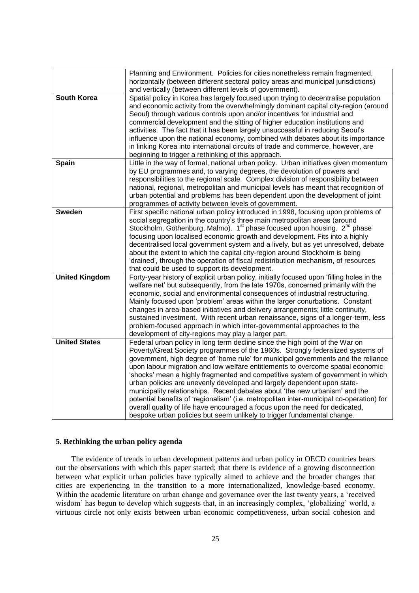|                       | Planning and Environment. Policies for cities nonetheless remain fragmented,                                                                                                  |
|-----------------------|-------------------------------------------------------------------------------------------------------------------------------------------------------------------------------|
|                       | horizontally (between different sectoral policy areas and municipal jurisdictions)                                                                                            |
|                       | and vertically (between different levels of government).                                                                                                                      |
| <b>South Korea</b>    | Spatial policy in Korea has largely focused upon trying to decentralise population                                                                                            |
|                       | and economic activity from the overwhelmingly dominant capital city-region (around                                                                                            |
|                       | Seoul) through various controls upon and/or incentives for industrial and                                                                                                     |
|                       | commercial development and the sitting of higher education institutions and                                                                                                   |
|                       | activities. The fact that it has been largely unsuccessful in reducing Seoul's                                                                                                |
|                       | influence upon the national economy, combined with debates about its importance                                                                                               |
|                       | in linking Korea into international circuits of trade and commerce, however, are                                                                                              |
|                       | beginning to trigger a rethinking of this approach.                                                                                                                           |
| Spain                 | Little in the way of formal, national urban policy. Urban initiatives given momentum                                                                                          |
|                       | by EU programmes and, to varying degrees, the devolution of powers and                                                                                                        |
|                       | responsibilities to the regional scale. Complex division of responsibility between                                                                                            |
|                       | national, regional, metropolitan and municipal levels has meant that recognition of                                                                                           |
|                       | urban potential and problems has been dependent upon the development of joint                                                                                                 |
|                       | programmes of activity between levels of government.                                                                                                                          |
| <b>Sweden</b>         | First specific national urban policy introduced in 1998, focusing upon problems of                                                                                            |
|                       | social segregation in the country's three main metropolitan areas (around                                                                                                     |
|                       | Stockholm, Gothenburg, Malmo). 1 <sup>st</sup> phase focused upon housing. 2 <sup>nd</sup> phase                                                                              |
|                       | focusing upon localised economic growth and development. Fits into a highly                                                                                                   |
|                       | decentralised local government system and a lively, but as yet unresolved, debate                                                                                             |
|                       | about the extent to which the capital city-region around Stockholm is being                                                                                                   |
|                       | 'drained', through the operation of fiscal redistribution mechanism, of resources                                                                                             |
| <b>United Kingdom</b> | that could be used to support its development.                                                                                                                                |
|                       | Forty-year history of explicit urban policy, initially focused upon 'filling holes in the<br>welfare net' but subsequently, from the late 1970s, concerned primarily with the |
|                       | economic, social and environmental consequences of industrial restructuring.                                                                                                  |
|                       | Mainly focused upon 'problem' areas within the larger conurbations. Constant                                                                                                  |
|                       | changes in area-based initiatives and delivery arrangements; little continuity,                                                                                               |
|                       | sustained investment. With recent urban renaissance, signs of a longer-term, less                                                                                             |
|                       | problem-focused approach in which inter-governmental approaches to the                                                                                                        |
|                       | development of city-regions may play a larger part.                                                                                                                           |
| <b>United States</b>  | Federal urban policy in long term decline since the high point of the War on                                                                                                  |
|                       | Poverty/Great Society programmes of the 1960s. Strongly federalized systems of                                                                                                |
|                       | government, high degree of 'home rule' for municipal governments and the reliance                                                                                             |
|                       | upon labour migration and low welfare entitlements to overcome spatial economic                                                                                               |
|                       | 'shocks' mean a highly fragmented and competitive system of government in which                                                                                               |
|                       | urban policies are unevenly developed and largely dependent upon state-                                                                                                       |
|                       | municipality relationships. Recent debates about 'the new urbanism' and the                                                                                                   |
|                       | potential benefits of 'regionalism' (i.e. metropolitan inter-municipal co-operation) for                                                                                      |
|                       | overall quality of life have encouraged a focus upon the need for dedicated,                                                                                                  |
|                       | bespoke urban policies but seem unlikely to trigger fundamental change.                                                                                                       |

### **5. Rethinking the urban policy agenda**

The evidence of trends in urban development patterns and urban policy in OECD countries bears out the observations with which this paper started; that there is evidence of a growing disconnection between what explicit urban policies have typically aimed to achieve and the broader changes that cities are experiencing in the transition to a more internationalized, knowledge-based economy. Within the academic literature on urban change and governance over the last twenty years, a 'received wisdom' has begun to develop which suggests that, in an increasingly complex, 'globalizing' world, a virtuous circle not only exists between urban economic competitiveness, urban social cohesion and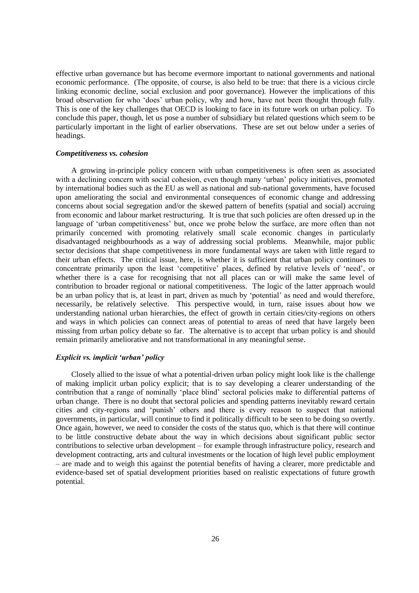effective urban governance but has become evermore important to national governments and national economic performance. (The opposite, of course, is also held to be true: that there is a vicious circle linking economic decline, social exclusion and poor governance). However the implications of this broad observation for who 'does' urban policy, why and how, have not been thought through fully. This is one of the key challenges that OECD is looking to face in its future work on urban policy. To conclude this paper, though, let us pose a number of subsidiary but related questions which seem to be particularly important in the light of earlier observations. These are set out below under a series of headings.

### *Competitiveness vs. cohesion*

A growing in-principle policy concern with urban competitiveness is often seen as associated with a declining concern with social cohesion, even though many 'urban' policy initiatives, promoted by international bodies such as the EU as well as national and sub-national governments, have focused upon ameliorating the social and environmental consequences of economic change and addressing concerns about social segregation and/or the skewed pattern of benefits (spatial and social) accruing from economic and labour market restructuring. It is true that such policies are often dressed up in the language of 'urban competitiveness' but, once we probe below the surface, are more often than not primarily concerned with promoting relatively small scale economic changes in particularly disadvantaged neighbourhoods as a way of addressing social problems. Meanwhile, major public sector decisions that shape competitiveness in more fundamental ways are taken with little regard to their urban effects. The critical issue, here, is whether it is sufficient that urban policy continues to concentrate primarily upon the least 'competitive' places, defined by relative levels of 'need', or whether there is a case for recognising that not all places can or will make the same level of contribution to broader regional or national competitiveness. The logic of the latter approach would be an urban policy that is, at least in part, driven as much by 'potential' as need and would therefore, necessarily, be relatively selective. This perspective would, in turn, raise issues about how we understanding national urban hierarchies, the effect of growth in certain cities/city-regions on others and ways in which policies can connect areas of potential to areas of need that have largely been missing from urban policy debate so far. The alternative is to accept that urban policy is and should remain primarily ameliorative and not transformational in any meaningful sense.

## *Explicit vs. implicit 'urban' policy*

Closely allied to the issue of what a potential-driven urban policy might look like is the challenge of making implicit urban policy explicit; that is to say developing a clearer understanding of the contribution that a range of nominally 'place blind' sectoral policies make to differential patterns of urban change. There is no doubt that sectoral policies and spending patterns inevitably reward certain cities and city-regions and 'punish' others and there is every reason to suspect that national governments, in particular, will continue to find it politically difficult to be seen to be doing so overtly. Once again, however, we need to consider the costs of the status quo, which is that there will continue to be little constructive debate about the way in which decisions about significant public sector contributions to selective urban development – for example through infrastructure policy, research and development contracting, arts and cultural investments or the location of high level public employment – are made and to weigh this against the potential benefits of having a clearer, more predictable and evidence-based set of spatial development priorities based on realistic expectations of future growth potential.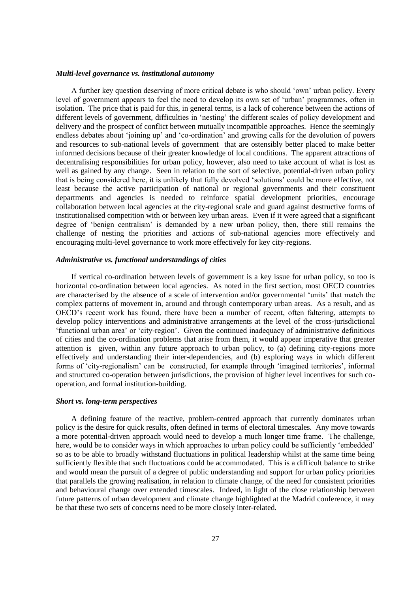### *Multi-level governance vs. institutional autonomy*

A further key question deserving of more critical debate is who should 'own' urban policy. Every level of government appears to feel the need to develop its own set of 'urban' programmes, often in isolation. The price that is paid for this, in general terms, is a lack of coherence between the actions of different levels of government, difficulties in 'nesting' the different scales of policy development and delivery and the prospect of conflict between mutually incompatible approaches. Hence the seemingly endless debates about 'joining up' and 'co-ordination' and growing calls for the devolution of powers and resources to sub-national levels of government that are ostensibly better placed to make better informed decisions because of their greater knowledge of local conditions. The apparent attractions of decentralising responsibilities for urban policy, however, also need to take account of what is lost as well as gained by any change. Seen in relation to the sort of selective, potential-driven urban policy that is being considered here, it is unlikely that fully devolved 'solutions' could be more effective, not least because the active participation of national or regional governments and their constituent departments and agencies is needed to reinforce spatial development priorities, encourage collaboration between local agencies at the city-regional scale and guard against destructive forms of institutionalised competition with or between key urban areas. Even if it were agreed that a significant degree of 'benign centralism' is demanded by a new urban policy, then, there still remains the challenge of nesting the priorities and actions of sub-national agencies more effectively and encouraging multi-level governance to work more effectively for key city-regions.

### *Administrative vs. functional understandings of cities*

If vertical co-ordination between levels of government is a key issue for urban policy, so too is horizontal co-ordination between local agencies. As noted in the first section, most OECD countries are characterised by the absence of a scale of intervention and/or governmental 'units' that match the complex patterns of movement in, around and through contemporary urban areas. As a result, and as OECD's recent work has found, there have been a number of recent, often faltering, attempts to develop policy interventions and administrative arrangements at the level of the cross-jurisdictional 'functional urban area' or 'city-region'. Given the continued inadequacy of administrative definitions of cities and the co-ordination problems that arise from them, it would appear imperative that greater attention is given, within any future approach to urban policy, to (a) defining city-regions more effectively and understanding their inter-dependencies, and (b) exploring ways in which different forms of 'city-regionalism' can be constructed, for example through 'imagined territories', informal and structured co-operation between jurisdictions, the provision of higher level incentives for such cooperation, and formal institution-building.

### *Short vs. long-term perspectives*

A defining feature of the reactive, problem-centred approach that currently dominates urban policy is the desire for quick results, often defined in terms of electoral timescales. Any move towards a more potential-driven approach would need to develop a much longer time frame. The challenge, here, would be to consider ways in which approaches to urban policy could be sufficiently 'embedded' so as to be able to broadly withstand fluctuations in political leadership whilst at the same time being sufficiently flexible that such fluctuations could be accommodated. This is a difficult balance to strike and would mean the pursuit of a degree of public understanding and support for urban policy priorities that parallels the growing realisation, in relation to climate change, of the need for consistent priorities and behavioural change over extended timescales. Indeed, in light of the close relationship between future patterns of urban development and climate change highlighted at the Madrid conference, it may be that these two sets of concerns need to be more closely inter-related.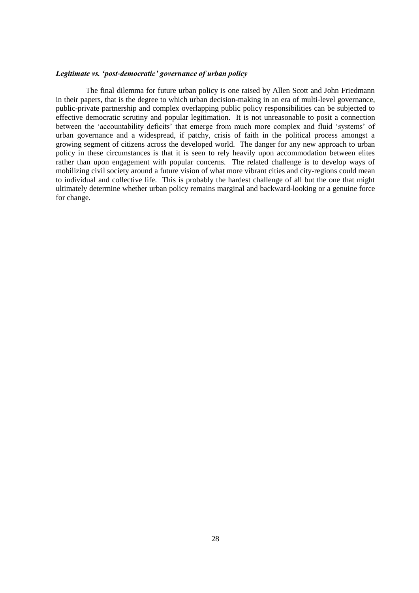### *Legitimate vs. 'post-democratic' governance of urban policy*

The final dilemma for future urban policy is one raised by Allen Scott and John Friedmann in their papers, that is the degree to which urban decision-making in an era of multi-level governance, public-private partnership and complex overlapping public policy responsibilities can be subjected to effective democratic scrutiny and popular legitimation. It is not unreasonable to posit a connection between the 'accountability deficits' that emerge from much more complex and fluid 'systems' of urban governance and a widespread, if patchy, crisis of faith in the political process amongst a growing segment of citizens across the developed world. The danger for any new approach to urban policy in these circumstances is that it is seen to rely heavily upon accommodation between elites rather than upon engagement with popular concerns. The related challenge is to develop ways of mobilizing civil society around a future vision of what more vibrant cities and city-regions could mean to individual and collective life. This is probably the hardest challenge of all but the one that might ultimately determine whether urban policy remains marginal and backward-looking or a genuine force for change.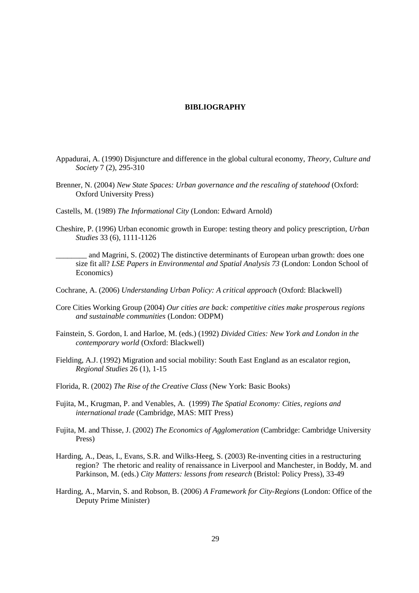### **BIBLIOGRAPHY**

- Appadurai, A. (1990) Disjuncture and difference in the global cultural economy, *Theory, Culture and Society* 7 (2), 295-310
- Brenner, N. (2004) *New State Spaces: Urban governance and the rescaling of statehood* (Oxford: Oxford University Press)
- Castells, M. (1989) *The Informational City* (London: Edward Arnold)
- Cheshire, P. (1996) Urban economic growth in Europe: testing theory and policy prescription, *Urban Studies* 33 (6), 1111-1126
	- and Magrini, S. (2002) The distinctive determinants of European urban growth: does one size fit all? *LSE Papers in Environmental and Spatial Analysis 73* (London: London School of Economics)
- Cochrane, A. (2006) *Understanding Urban Policy: A critical approach* (Oxford: Blackwell)
- Core Cities Working Group (2004) *Our cities are back: competitive cities make prosperous regions and sustainable communities* (London: ODPM)
- Fainstein, S. Gordon, I. and Harloe, M. (eds.) (1992) *Divided Cities: New York and London in the contemporary world* (Oxford: Blackwell)
- Fielding, A.J. (1992) Migration and social mobility: South East England as an escalator region, *Regional Studies* 26 (1), 1-15
- Florida, R. (2002) *The Rise of the Creative Class* (New York: Basic Books)
- Fujita, M., Krugman, P. and Venables, A. (1999) *The Spatial Economy: Cities, regions and international trade* (Cambridge, MAS: MIT Press)
- Fujita, M. and Thisse, J. (2002) *The Economics of Agglomeration* (Cambridge: Cambridge University Press)
- Harding, A., Deas, I., Evans, S.R. and Wilks-Heeg, S. (2003) Re-inventing cities in a restructuring region? The rhetoric and reality of renaissance in Liverpool and Manchester, in Boddy, M. and Parkinson, M. (eds.) *City Matters: lessons from research* (Bristol: Policy Press), 33-49
- Harding, A., Marvin, S. and Robson, B. (2006) *A Framework for City-Regions* (London: Office of the Deputy Prime Minister)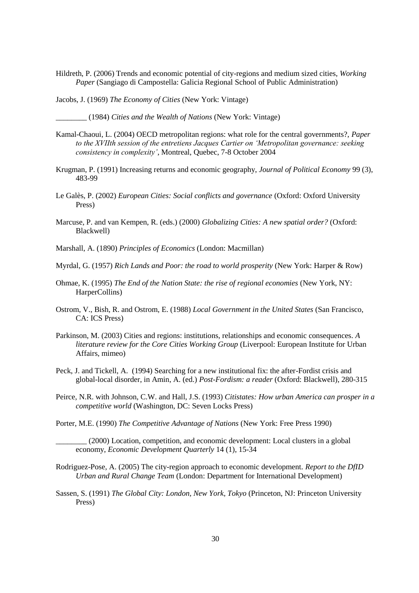- Hildreth, P. (2006) Trends and economic potential of city-regions and medium sized cities, *Working Paper* (Sangiago di Campostella: Galicia Regional School of Public Administration)
- Jacobs, J. (1969) *The Economy of Cities* (New York: Vintage)

\_\_\_\_\_\_\_\_ (1984) *Cities and the Wealth of Nations* (New York: Vintage)

- Kamal-Chaoui, L. (2004) OECD metropolitan regions: what role for the central governments?, *Paper to the XVIIth session of the entretiens Jacques Cartier on 'Metropolitan governance: seeking consistency in complexity'*, Montreal, Quebec, 7-8 October 2004
- Krugman, P. (1991) Increasing returns and economic geography, *Journal of Political Economy* 99 (3), 483-99
- Le Galès, P. (2002) *European Cities: Social conflicts and governance* (Oxford: Oxford University Press)
- Marcuse, P. and van Kempen, R. (eds.) (2000) *Globalizing Cities: A new spatial order?* (Oxford: Blackwell)
- Marshall, A. (1890) *Principles of Economics* (London: Macmillan)
- Myrdal, G. (1957) *Rich Lands and Poor: the road to world prosperity* (New York: Harper & Row)
- Ohmae, K. (1995) *The End of the Nation State: the rise of regional economies* (New York, NY: HarperCollins)
- Ostrom, V., Bish, R. and Ostrom, E. (1988) *Local Government in the United States* (San Francisco, CA: ICS Press)
- Parkinson, M. (2003) Cities and regions: institutions, relationships and economic consequences. *A literature review for the Core Cities Working Group* (Liverpool: European Institute for Urban Affairs, mimeo)
- Peck, J. and Tickell, A. (1994) Searching for a new institutional fix: the after-Fordist crisis and global-local disorder, in Amin, A. (ed.) *Post-Fordism: a reader* (Oxford: Blackwell), 280-315
- Peirce, N.R. with Johnson, C.W. and Hall, J.S. (1993) *Citistates: How urban America can prosper in a competitive world* (Washington, DC: Seven Locks Press)
- Porter, M.E. (1990) *The Competitive Advantage of Nations* (New York: Free Press 1990)
	- \_\_\_\_\_\_\_\_ (2000) Location, competition, and economic development: Local clusters in a global economy, *Economic Development Quarterly* 14 (1), 15-34
- Rodriguez-Pose, A. (2005) The city-region approach to economic development. *Report to the DfID Urban and Rural Change Team* (London: Department for International Development)
- Sassen, S. (1991) *The Global City: London, New York, Tokyo* (Princeton, NJ: Princeton University Press)